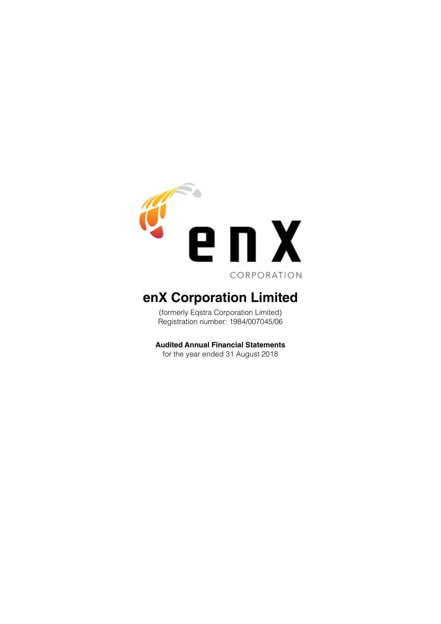

# **enX Corporation Limited**

(formerly Eqstra Corporation Limited) Registration number: 1984/007045/06

**Audited Annual Financial Statements**

for the year ended 31 August 2018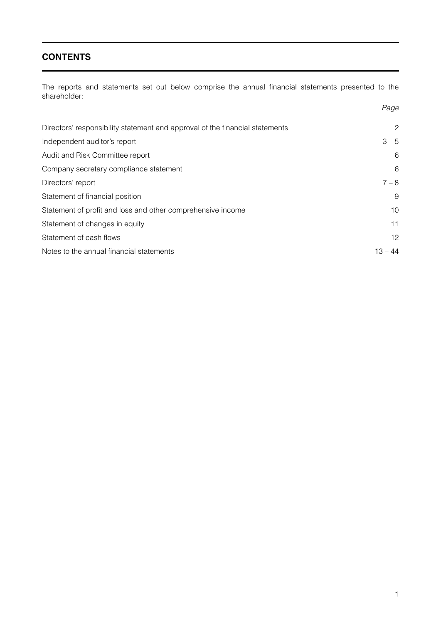# **CONTENTS**

The reports and statements set out below comprise the annual financial statements presented to the shareholder:

| Directors' responsibility statement and approval of the financial statements | 2         |
|------------------------------------------------------------------------------|-----------|
| Independent auditor's report                                                 | $3 - 5$   |
| Audit and Risk Committee report                                              | 6         |
| Company secretary compliance statement                                       | 6         |
| Directors' report                                                            | $7 - 8$   |
| Statement of financial position                                              | 9         |
| Statement of profit and loss and other comprehensive income                  | 10        |
| Statement of changes in equity                                               | 11        |
| Statement of cash flows                                                      | 12        |
| Notes to the annual financial statements                                     | $13 - 44$ |

*Page*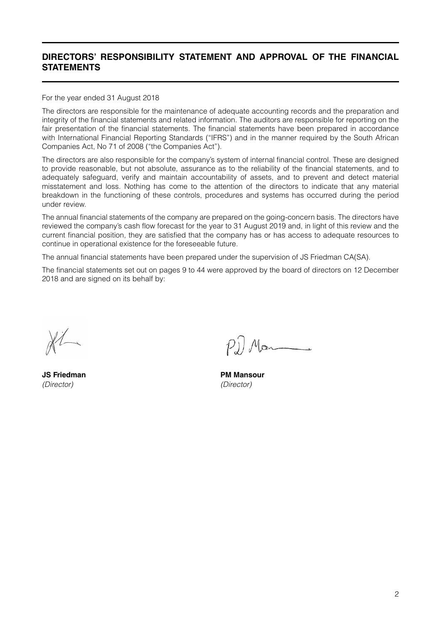# **DIRECTORS' RESPONSIBILITY STATEMENT AND APPROVAL OF THE FINANCIAL STATEMENTS**

#### For the year ended 31 August 2018

The directors are responsible for the maintenance of adequate accounting records and the preparation and integrity of the financial statements and related information. The auditors are responsible for reporting on the fair presentation of the financial statements. The financial statements have been prepared in accordance with International Financial Reporting Standards ("IFRS") and in the manner required by the South African Companies Act, No 71 of 2008 ("the Companies Act").

The directors are also responsible for the company's system of internal financial control. These are designed to provide reasonable, but not absolute, assurance as to the reliability of the financial statements, and to adequately safeguard, verify and maintain accountability of assets, and to prevent and detect material misstatement and loss. Nothing has come to the attention of the directors to indicate that any material breakdown in the functioning of these controls, procedures and systems has occurred during the period under review.

The annual financial statements of the company are prepared on the going-concern basis. The directors have reviewed the company's cash flow forecast for the year to 31 August 2019 and, in light of this review and the current financial position, they are satisfied that the company has or has access to adequate resources to continue in operational existence for the foreseeable future.

The annual financial statements have been prepared under the supervision of JS Friedman CA(SA).

The financial statements set out on pages 9 to 44 were approved by the board of directors on 12 December 2018 and are signed on its behalf by:

 $\chi/$ 

**JS Friedman PM Mansour** *(Director) (Director)*

 $p_j$ ) Man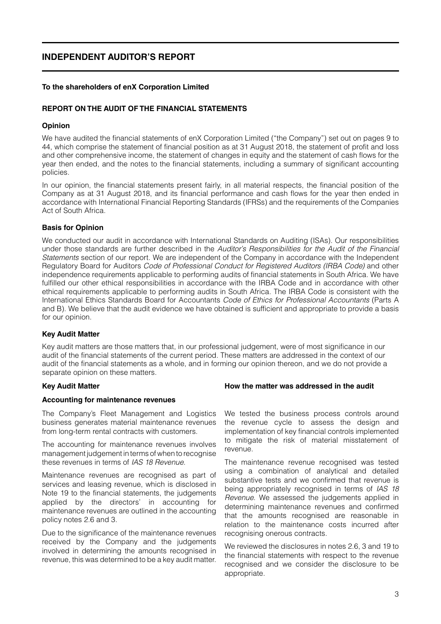# **INDEPENDENT AUDITOR'S REPORT**

#### **To the shareholders of enX Corporation Limited**

#### **REPORT ON THE AUDIT OF THE FINANCIAL STATEMENTS**

#### **Opinion**

We have audited the financial statements of enX Corporation Limited ("the Company") set out on pages 9 to 44, which comprise the statement of financial position as at 31 August 2018, the statement of profit and loss and other comprehensive income, the statement of changes in equity and the statement of cash flows for the year then ended, and the notes to the financial statements, including a summary of significant accounting policies.

In our opinion, the financial statements present fairly, in all material respects, the financial position of the Company as at 31 August 2018, and its financial performance and cash flows for the year then ended in accordance with International Financial Reporting Standards (IFRSs) and the requirements of the Companies Act of South Africa.

#### **Basis for Opinion**

We conducted our audit in accordance with International Standards on Auditing (ISAs). Our responsibilities under those standards are further described in the *Auditor's Responsibilities for the Audit of the Financial Statements* section of our report. We are independent of the Company in accordance with the Independent Regulatory Board for Auditors *Code of Professional Conduct for Registered Auditors (IRBA Code)* and other independence requirements applicable to performing audits of financial statements in South Africa. We have fulfilled our other ethical responsibilities in accordance with the IRBA Code and in accordance with other ethical requirements applicable to performing audits in South Africa. The IRBA Code is consistent with the International Ethics Standards Board for Accountants *Code of Ethics for Professional Accountants* (Parts A and B). We believe that the audit evidence we have obtained is sufficient and appropriate to provide a basis for our opinion.

#### **Key Audit Matter**

Key audit matters are those matters that, in our professional judgement, were of most significance in our audit of the financial statements of the current period. These matters are addressed in the context of our audit of the financial statements as a whole, and in forming our opinion thereon, and we do not provide a separate opinion on these matters.

#### **Accounting for maintenance revenues**

The Company's Fleet Management and Logistics business generates material maintenance revenues from long-term rental contracts with customers.

The accounting for maintenance revenues involves management judgement in terms of when to recognise these revenues in terms of *IAS 18 Revenue*.

Maintenance revenues are recognised as part of services and leasing revenue, which is disclosed in Note 19 to the financial statements, the judgements applied by the directors' in accounting for maintenance revenues are outlined in the accounting policy notes 2.6 and 3.

Due to the significance of the maintenance revenues received by the Company and the judgements involved in determining the amounts recognised in revenue, this was determined to be a key audit matter.

#### **Key Audit Matter How the matter was addressed in the audit**

We tested the business process controls around the revenue cycle to assess the design and implementation of key financial controls implemented to mitigate the risk of material misstatement of revenue.

The maintenance revenue recognised was tested using a combination of analytical and detailed substantive tests and we confirmed that revenue is being appropriately recognised in terms of *IAS 18 Revenue*. We assessed the judgements applied in determining maintenance revenues and confirmed that the amounts recognised are reasonable in relation to the maintenance costs incurred after recognising onerous contracts.

We reviewed the disclosures in notes 2.6, 3 and 19 to the financial statements with respect to the revenue recognised and we consider the disclosure to be appropriate.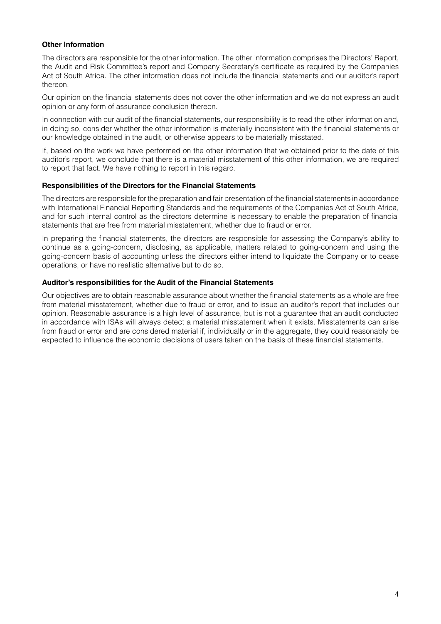#### **Other Information**

The directors are responsible for the other information. The other information comprises the Directors' Report, the Audit and Risk Committee's report and Company Secretary's certificate as required by the Companies Act of South Africa. The other information does not include the financial statements and our auditor's report thereon.

Our opinion on the financial statements does not cover the other information and we do not express an audit opinion or any form of assurance conclusion thereon.

In connection with our audit of the financial statements, our responsibility is to read the other information and, in doing so, consider whether the other information is materially inconsistent with the financial statements or our knowledge obtained in the audit, or otherwise appears to be materially misstated.

If, based on the work we have performed on the other information that we obtained prior to the date of this auditor's report, we conclude that there is a material misstatement of this other information, we are required to report that fact. We have nothing to report in this regard.

#### **Responsibilities of the Directors for the Financial Statements**

The directors are responsible for the preparation and fair presentation of the financial statements in accordance with International Financial Reporting Standards and the requirements of the Companies Act of South Africa, and for such internal control as the directors determine is necessary to enable the preparation of financial statements that are free from material misstatement, whether due to fraud or error.

In preparing the financial statements, the directors are responsible for assessing the Company's ability to continue as a going-concern, disclosing, as applicable, matters related to going-concern and using the going-concern basis of accounting unless the directors either intend to liquidate the Company or to cease operations, or have no realistic alternative but to do so.

#### **Auditor's responsibilities for the Audit of the Financial Statements**

Our objectives are to obtain reasonable assurance about whether the financial statements as a whole are free from material misstatement, whether due to fraud or error, and to issue an auditor's report that includes our opinion. Reasonable assurance is a high level of assurance, but is not a guarantee that an audit conducted in accordance with ISAs will always detect a material misstatement when it exists. Misstatements can arise from fraud or error and are considered material if, individually or in the aggregate, they could reasonably be expected to influence the economic decisions of users taken on the basis of these financial statements.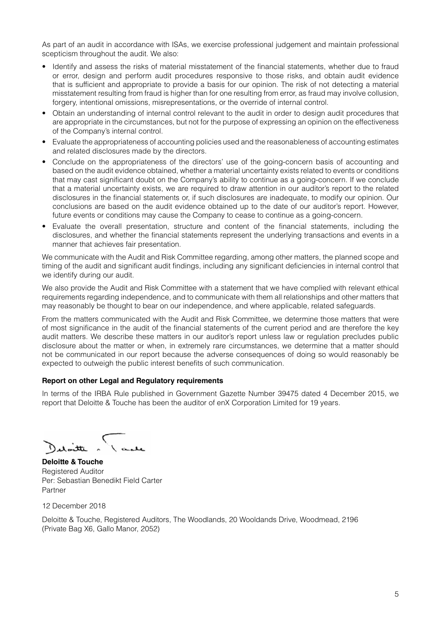As part of an audit in accordance with ISAs, we exercise professional judgement and maintain professional scepticism throughout the audit. We also:

- Identify and assess the risks of material misstatement of the financial statements, whether due to fraud or error, design and perform audit procedures responsive to those risks, and obtain audit evidence that is sufficient and appropriate to provide a basis for our opinion. The risk of not detecting a material misstatement resulting from fraud is higher than for one resulting from error, as fraud may involve collusion, forgery, intentional omissions, misrepresentations, or the override of internal control.
- Obtain an understanding of internal control relevant to the audit in order to design audit procedures that are appropriate in the circumstances, but not for the purpose of expressing an opinion on the effectiveness of the Company's internal control.
- Evaluate the appropriateness of accounting policies used and the reasonableness of accounting estimates and related disclosures made by the directors.
- Conclude on the appropriateness of the directors' use of the going-concern basis of accounting and based on the audit evidence obtained, whether a material uncertainty exists related to events or conditions that may cast significant doubt on the Company's ability to continue as a going-concern. If we conclude that a material uncertainty exists, we are required to draw attention in our auditor's report to the related disclosures in the financial statements or, if such disclosures are inadequate, to modify our opinion. Our conclusions are based on the audit evidence obtained up to the date of our auditor's report. However, future events or conditions may cause the Company to cease to continue as a going-concern.
- Evaluate the overall presentation, structure and content of the financial statements, including the disclosures, and whether the financial statements represent the underlying transactions and events in a manner that achieves fair presentation.

We communicate with the Audit and Risk Committee regarding, among other matters, the planned scope and timing of the audit and significant audit findings, including any significant deficiencies in internal control that we identify during our audit.

We also provide the Audit and Risk Committee with a statement that we have complied with relevant ethical requirements regarding independence, and to communicate with them all relationships and other matters that may reasonably be thought to bear on our independence, and where applicable, related safeguards.

From the matters communicated with the Audit and Risk Committee, we determine those matters that were of most significance in the audit of the financial statements of the current period and are therefore the key audit matters. We describe these matters in our auditor's report unless law or regulation precludes public disclosure about the matter or when, in extremely rare circumstances, we determine that a matter should not be communicated in our report because the adverse consequences of doing so would reasonably be expected to outweigh the public interest benefits of such communication.

#### **Report on other Legal and Regulatory requirements**

In terms of the IRBA Rule published in Government Gazette Number 39475 dated 4 December 2015, we report that Deloitte & Touche has been the auditor of enX Corporation Limited for 19 years.

**Deloitte & Touche**  Registered Auditor Per: Sebastian Benedikt Field Carter Partner

12 December 2018

Deloitte & Touche, Registered Auditors, The Woodlands, 20 Wooldands Drive, Woodmead, 2196 (Private Bag X6, Gallo Manor, 2052)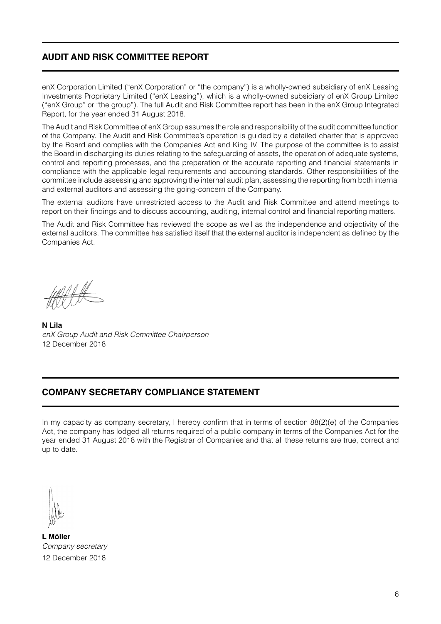# **AUDIT AND RISK COMMITTEE REPORT**

enX Corporation Limited ("enX Corporation" or "the company") is a wholly-owned subsidiary of enX Leasing Investments Proprietary Limited ("enX Leasing"), which is a wholly-owned subsidiary of enX Group Limited ("enX Group" or "the group"). The full Audit and Risk Committee report has been in the enX Group Integrated Report, for the year ended 31 August 2018.

The Audit and Risk Committee of enX Group assumes the role and responsibility of the audit committee function of the Company. The Audit and Risk Committee's operation is guided by a detailed charter that is approved by the Board and complies with the Companies Act and King IV. The purpose of the committee is to assist the Board in discharging its duties relating to the safeguarding of assets, the operation of adequate systems, control and reporting processes, and the preparation of the accurate reporting and financial statements in compliance with the applicable legal requirements and accounting standards. Other responsibilities of the committee include assessing and approving the internal audit plan, assessing the reporting from both internal and external auditors and assessing the going-concern of the Company.

The external auditors have unrestricted access to the Audit and Risk Committee and attend meetings to report on their findings and to discuss accounting, auditing, internal control and financial reporting matters.

The Audit and Risk Committee has reviewed the scope as well as the independence and objectivity of the external auditors. The committee has satisfied itself that the external auditor is independent as defined by the Companies Act.

**N Lila** *enX Group Audit and Risk Committee Chairperson* 12 December 2018

# **COMPANY SECRETARY COMPLIANCE STATEMENT**

In my capacity as company secretary, I hereby confirm that in terms of section 88(2)(e) of the Companies Act, the company has lodged all returns required of a public company in terms of the Companies Act for the year ended 31 August 2018 with the Registrar of Companies and that all these returns are true, correct and up to date.

**L Möller** *Company secretary* 12 December 2018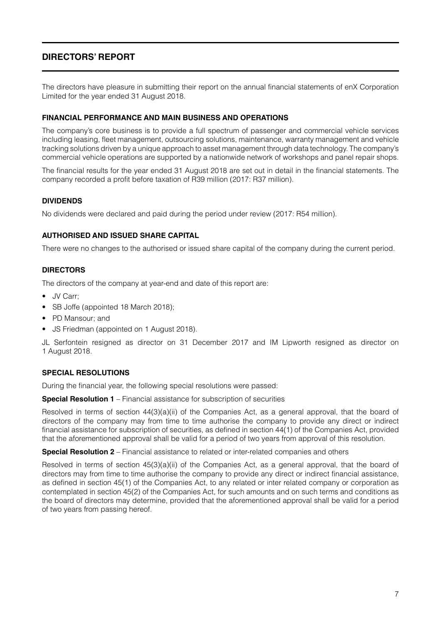# **DIRECTORS' REPORT**

The directors have pleasure in submitting their report on the annual financial statements of enX Corporation Limited for the year ended 31 August 2018.

#### **FINANCIAL PERFORMANCE AND MAIN BUSINESS AND OPERATIONS**

The company's core business is to provide a full spectrum of passenger and commercial vehicle services including leasing, fleet management, outsourcing solutions, maintenance, warranty management and vehicle tracking solutions driven by a unique approach to asset management through data technology. The company's commercial vehicle operations are supported by a nationwide network of workshops and panel repair shops.

The financial results for the year ended 31 August 2018 are set out in detail in the financial statements. The company recorded a profit before taxation of R39 million (2017: R37 million).

#### **DIVIDENDS**

No dividends were declared and paid during the period under review (2017: R54 million).

#### **AUTHORISED AND ISSUED SHARE CAPITAL**

There were no changes to the authorised or issued share capital of the company during the current period.

#### **DIRECTORS**

The directors of the company at year-end and date of this report are:

- JV Carr;
- SB Joffe (appointed 18 March 2018);
- PD Mansour; and
- JS Friedman (appointed on 1 August 2018).

JL Serfontein resigned as director on 31 December 2017 and IM Lipworth resigned as director on 1 August 2018.

#### **SPECIAL RESOLUTIONS**

During the financial year, the following special resolutions were passed:

**Special Resolution 1** – Financial assistance for subscription of securities

Resolved in terms of section 44(3)(a)(ii) of the Companies Act, as a general approval, that the board of directors of the company may from time to time authorise the company to provide any direct or indirect financial assistance for subscription of securities, as defined in section 44(1) of the Companies Act, provided that the aforementioned approval shall be valid for a period of two years from approval of this resolution.

**Special Resolution 2** – Financial assistance to related or inter-related companies and others

Resolved in terms of section 45(3)(a)(ii) of the Companies Act, as a general approval, that the board of directors may from time to time authorise the company to provide any direct or indirect financial assistance, as defined in section 45(1) of the Companies Act, to any related or inter related company or corporation as contemplated in section 45(2) of the Companies Act, for such amounts and on such terms and conditions as the board of directors may determine, provided that the aforementioned approval shall be valid for a period of two years from passing hereof.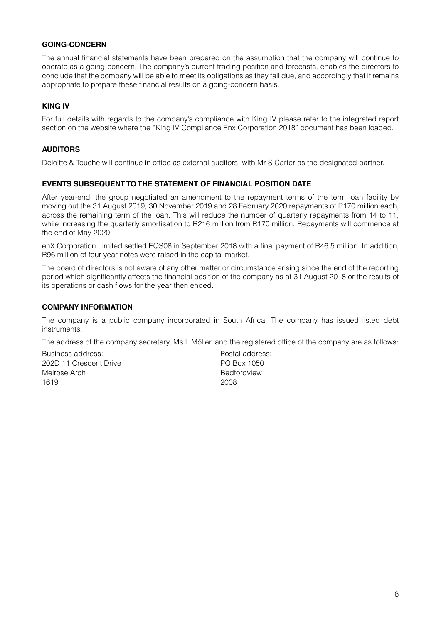#### **GOING-CONCERN**

The annual financial statements have been prepared on the assumption that the company will continue to operate as a going-concern. The company's current trading position and forecasts, enables the directors to conclude that the company will be able to meet its obligations as they fall due, and accordingly that it remains appropriate to prepare these financial results on a going-concern basis.

### **KING IV**

For full details with regards to the company's compliance with King IV please refer to the integrated report section on the website where the "King IV Compliance Enx Corporation 2018" document has been loaded.

#### **AUDITORS**

Deloitte & Touche will continue in office as external auditors, with Mr S Carter as the designated partner.

#### **EVENTS SUBSEQUENT TO THE STATEMENT OF FINANCIAL POSITION DATE**

After year-end, the group negotiated an amendment to the repayment terms of the term loan facility by moving out the 31 August 2019, 30 November 2019 and 28 February 2020 repayments of R170 million each, across the remaining term of the loan. This will reduce the number of quarterly repayments from 14 to 11, while increasing the quarterly amortisation to R216 million from R170 million. Repayments will commence at the end of May 2020.

enX Corporation Limited settled EQS08 in September 2018 with a final payment of R46.5 million. In addition, R96 million of four-year notes were raised in the capital market.

The board of directors is not aware of any other matter or circumstance arising since the end of the reporting period which significantly affects the financial position of the company as at 31 August 2018 or the results of its operations or cash flows for the year then ended.

#### **COMPANY INFORMATION**

The company is a public company incorporated in South Africa. The company has issued listed debt instruments.

The address of the company secretary, Ms L Möller, and the registered office of the company are as follows:

Business address: Postal address: 202D 11 Crescent Drive **PO Box 1050** Melrose Arch Bedfordview 1619 2008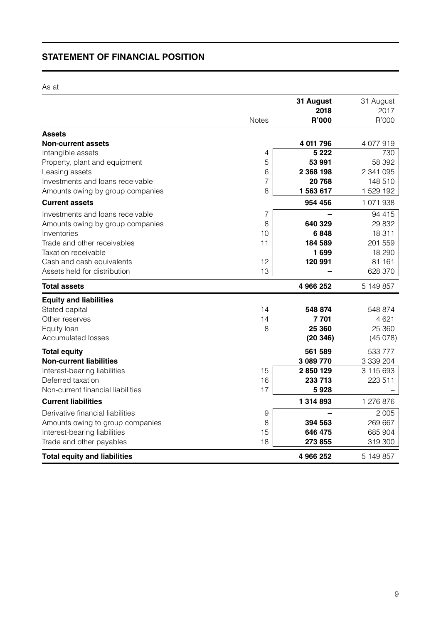# **STATEMENT OF FINANCIAL POSITION**

As at

|                                     |                | 31 August | 31 August |
|-------------------------------------|----------------|-----------|-----------|
|                                     |                | 2018      | 2017      |
|                                     | <b>Notes</b>   | R'000     | R'000     |
| <b>Assets</b>                       |                |           |           |
| <b>Non-current assets</b>           |                | 4 011 796 | 4 077 919 |
| Intangible assets                   | 4              | 5 2 2 2   | 730       |
| Property, plant and equipment       | 5              | 53 991    | 58 392    |
| Leasing assets                      | 6              | 2 368 198 | 2 341 095 |
| Investments and loans receivable    | $\overline{7}$ | 20 768    | 148 510   |
| Amounts owing by group companies    | 8              | 1 563 617 | 1 529 192 |
| <b>Current assets</b>               |                | 954 456   | 1071938   |
| Investments and loans receivable    | 7              |           | 94 415    |
| Amounts owing by group companies    | 8              | 640 329   | 29 832    |
| Inventories                         | 10             | 6848      | 18 311    |
| Trade and other receivables         | 11             | 184 589   | 201 559   |
| Taxation receivable                 |                | 1699      | 18 290    |
| Cash and cash equivalents           | 12             | 120 991   | 81 161    |
| Assets held for distribution        | 13             |           | 628 370   |
| <b>Total assets</b>                 |                | 4 966 252 | 5 149 857 |
| <b>Equity and liabilities</b>       |                |           |           |
| Stated capital                      | 14             | 548 874   | 548 874   |
| Other reserves                      | 14             | 7 701     | 4 6 21    |
| Equity loan                         | 8              | 25 360    | 25 360    |
| <b>Accumulated losses</b>           |                | (20346)   | (45078)   |
| <b>Total equity</b>                 |                | 561 589   | 533 777   |
| <b>Non-current liabilities</b>      |                | 3 089 770 | 3 339 204 |
| Interest-bearing liabilities        | 15             | 2850129   | 3 115 693 |
| Deferred taxation                   | 16             | 233 713   | 223 511   |
| Non-current financial liabilities   | 17             | 5928      |           |
| <b>Current liabilities</b>          |                | 1 314 893 | 1 276 876 |
| Derivative financial liabilities    | $9$            |           | 2 0 0 5   |
| Amounts owing to group companies    | 8              | 394 563   | 269 667   |
| Interest-bearing liabilities        | 15             | 646 475   | 685 904   |
| Trade and other payables            | 18             | 273 855   | 319 300   |
| <b>Total equity and liabilities</b> |                | 4 966 252 | 5 149 857 |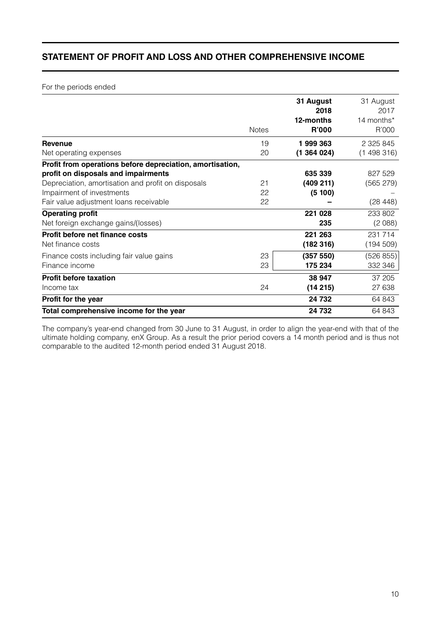# **STATEMENT OF PROFIT AND LOSS AND OTHER COMPREHENSIVE INCOME**

#### For the periods ended

|                                                           |              | 31 August         | 31 August          |
|-----------------------------------------------------------|--------------|-------------------|--------------------|
|                                                           |              | 2018<br>12-months | 2017<br>14 months* |
|                                                           | <b>Notes</b> | <b>R'000</b>      | R'000              |
| <b>Revenue</b>                                            | 19           | 1999363           | 2 325 845          |
| Net operating expenses                                    | 20           | (1364024)         | (1498316)          |
| Profit from operations before depreciation, amortisation, |              |                   |                    |
| profit on disposals and impairments                       |              | 635 339           | 827 529            |
| Depreciation, amortisation and profit on disposals        | 21           | (409 211)         | (565 279)          |
| Impairment of investments                                 | 22           | (5100)            |                    |
| Fair value adjustment loans receivable                    | 22           |                   | (28448)            |
| <b>Operating profit</b>                                   |              | 221 028           | 233 802            |
| Net foreign exchange gains/(losses)                       |              | 235               | (2088)             |
| Profit before net finance costs                           |              | 221 263           | 231 714            |
| Net finance costs                                         |              | (182 316)         | (194509)           |
| Finance costs including fair value gains                  | 23           | (357 550)         | (526 855)          |
| Finance income                                            | 23           | 175 234           | 332 346            |
| <b>Profit before taxation</b>                             |              | 38 947            | 37 205             |
| Income tax                                                | 24           | (14 215)          | 27 638             |
| Profit for the year                                       |              | 24 732            | 64 843             |
| Total comprehensive income for the year                   |              | 24 732            | 64 843             |

The company's year-end changed from 30 June to 31 August, in order to align the year-end with that of the ultimate holding company, enX Group. As a result the prior period covers a 14 month period and is thus not comparable to the audited 12-month period ended 31 August 2018.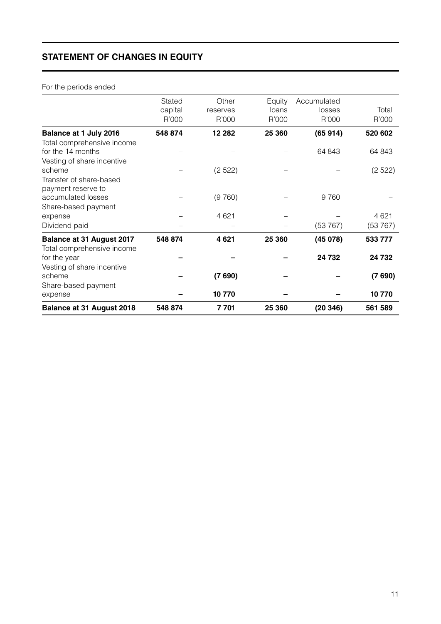# **STATEMENT OF CHANGES IN EQUITY**

# For the periods ended

| <b>Balance at 31 August 2018</b>                                    | 548 874          | 7701              | 25 360         | (20346)         | 561 589        |
|---------------------------------------------------------------------|------------------|-------------------|----------------|-----------------|----------------|
| Share-based payment<br>expense                                      |                  | 10770             |                |                 | 10770          |
| Vesting of share incentive<br>scheme                                |                  | (7690)            |                |                 | (7690)         |
| Total comprehensive income<br>for the year                          |                  |                   |                | 24 732          | 24 732         |
| <b>Balance at 31 August 2017</b>                                    | 548 874          | 4621              | 25 360         | (45078)         | 533 777        |
| Dividend paid                                                       |                  |                   |                | (53767)         | (53767)        |
| Share-based payment<br>expense                                      |                  | 4621              |                |                 | 4 6 21         |
| Transfer of share-based<br>payment reserve to<br>accumulated losses |                  | (9760)            |                | 9760            |                |
| Vesting of share incentive<br>scheme                                |                  | (2522)            |                |                 | (2522)         |
| Total comprehensive income<br>for the 14 months                     |                  |                   |                | 64 843          | 64 843         |
| Balance at 1 July 2016                                              | 548 874          | 12 282            | 25 360         | (65914)         | 520 602        |
|                                                                     | capital<br>R'000 | reserves<br>R'000 | loans<br>R'000 | losses<br>R'000 | Total<br>R'000 |
|                                                                     | Stated           | Other             | Equity         | Accumulated     |                |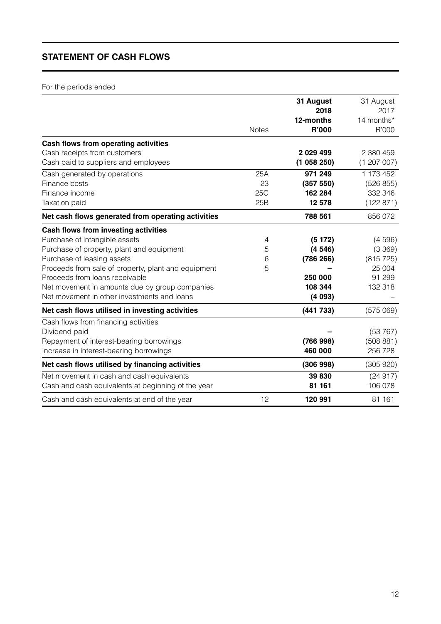# **STATEMENT OF CASH FLOWS**

# For the periods ended

|                                                     | <b>Notes</b> | 31 August<br>2018<br>12-months<br>R'000 | 31 August<br>2017<br>14 months*<br>R'000 |
|-----------------------------------------------------|--------------|-----------------------------------------|------------------------------------------|
|                                                     |              |                                         |                                          |
| Cash flows from operating activities                |              |                                         |                                          |
| Cash receipts from customers                        |              | 2 029 499                               | 2 380 459                                |
| Cash paid to suppliers and employees                |              | (1058250)                               | (1207007)                                |
| Cash generated by operations                        | 25A          | 971 249                                 | 1 173 452                                |
| Finance costs                                       | 23           | (357 550)                               | (526 855)                                |
| Finance income                                      | 25C          | 162 284                                 | 332 346                                  |
| Taxation paid                                       | 25B          | 12 578                                  | (122 871)                                |
| Net cash flows generated from operating activities  |              | 788 561                                 | 856 072                                  |
| <b>Cash flows from investing activities</b>         |              |                                         |                                          |
| Purchase of intangible assets                       | 4            | (5172)                                  | (4596)                                   |
| Purchase of property, plant and equipment           | 5            | (4546)                                  | (3369)                                   |
| Purchase of leasing assets                          | 6            | (786 266)                               | (815 725)                                |
| Proceeds from sale of property, plant and equipment | 5            |                                         | 25 004                                   |
| Proceeds from loans receivable                      |              | 250 000                                 | 91 299                                   |
| Net movement in amounts due by group companies      |              | 108 344                                 | 132 318                                  |
| Net movement in other investments and loans         |              | (4093)                                  |                                          |
| Net cash flows utilised in investing activities     |              | (441733)                                | (575069)                                 |
| Cash flows from financing activities                |              |                                         |                                          |
| Dividend paid                                       |              |                                         | (53767)                                  |
| Repayment of interest-bearing borrowings            |              | (766998)                                | (508881)                                 |
| Increase in interest-bearing borrowings             |              | 460 000                                 | 256 728                                  |
| Net cash flows utilised by financing activities     |              | (306998)                                | (305920)                                 |
| Net movement in cash and cash equivalents           |              | 39830                                   | (24917)                                  |
| Cash and cash equivalents at beginning of the year  |              | 81 161                                  | 106 078                                  |
| Cash and cash equivalents at end of the year        | 12           | 120 991                                 | 81 161                                   |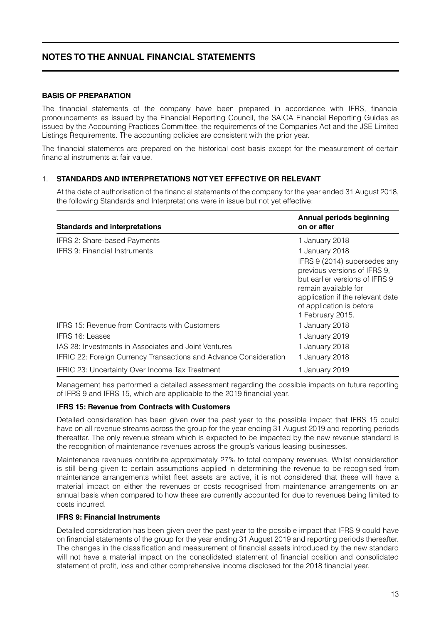# **NOTES TO THE ANNUAL FINANCIAL STATEMENTS**

#### **BASIS OF PREPARATION**

The financial statements of the company have been prepared in accordance with IFRS, financial pronouncements as issued by the Financial Reporting Council, the SAICA Financial Reporting Guides as issued by the Accounting Practices Committee, the requirements of the Companies Act and the JSE Limited Listings Requirements. The accounting policies are consistent with the prior year.

The financial statements are prepared on the historical cost basis except for the measurement of certain financial instruments at fair value.

### 1. **STANDARDS AND INTERPRETATIONS NOT YET EFFECTIVE OR RELEVANT**

At the date of authorisation of the financial statements of the company for the year ended 31 August 2018, the following Standards and Interpretations were in issue but not yet effective:

| <b>Standards and interpretations</b>                                     | <b>Annual periods beginning</b><br>on or after                                                                                                                                                             |
|--------------------------------------------------------------------------|------------------------------------------------------------------------------------------------------------------------------------------------------------------------------------------------------------|
| IFRS 2: Share-based Payments                                             | 1 January 2018                                                                                                                                                                                             |
| <b>IFRS 9: Financial Instruments</b>                                     | 1 January 2018                                                                                                                                                                                             |
|                                                                          | IFRS 9 (2014) supersedes any<br>previous versions of IFRS 9,<br>but earlier versions of IFRS 9<br>remain available for<br>application if the relevant date<br>of application is before<br>1 February 2015. |
| IFRS 15: Revenue from Contracts with Customers                           | 1 January 2018                                                                                                                                                                                             |
| IFRS 16: Leases                                                          | 1 January 2019                                                                                                                                                                                             |
| IAS 28: Investments in Associates and Joint Ventures                     | 1 January 2018                                                                                                                                                                                             |
| <b>IFRIC 22: Foreign Currency Transactions and Advance Consideration</b> | 1 January 2018                                                                                                                                                                                             |
| IFRIC 23: Uncertainty Over Income Tax Treatment                          | 1 January 2019                                                                                                                                                                                             |

Management has performed a detailed assessment regarding the possible impacts on future reporting of IFRS 9 and IFRS 15, which are applicable to the 2019 financial year.

#### **IFRS 15: Revenue from Contracts with Customers**

Detailed consideration has been given over the past year to the possible impact that IFRS 15 could have on all revenue streams across the group for the year ending 31 August 2019 and reporting periods thereafter. The only revenue stream which is expected to be impacted by the new revenue standard is the recognition of maintenance revenues across the group's various leasing businesses.

Maintenance revenues contribute approximately 27% to total company revenues. Whilst consideration is still being given to certain assumptions applied in determining the revenue to be recognised from maintenance arrangements whilst fleet assets are active, it is not considered that these will have a material impact on either the revenues or costs recognised from maintenance arrangements on an annual basis when compared to how these are currently accounted for due to revenues being limited to costs incurred.

#### **IFRS 9: Financial Instruments**

Detailed consideration has been given over the past year to the possible impact that IFRS 9 could have on financial statements of the group for the year ending 31 August 2019 and reporting periods thereafter. The changes in the classification and measurement of financial assets introduced by the new standard will not have a material impact on the consolidated statement of financial position and consolidated statement of profit, loss and other comprehensive income disclosed for the 2018 financial year.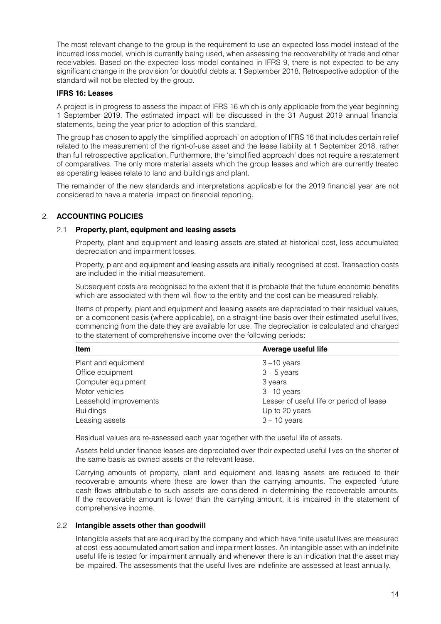The most relevant change to the group is the requirement to use an expected loss model instead of the incurred loss model, which is currently being used, when assessing the recoverability of trade and other receivables. Based on the expected loss model contained in IFRS 9, there is not expected to be any significant change in the provision for doubtful debts at 1 September 2018. Retrospective adoption of the standard will not be elected by the group.

#### **IFRS 16: Leases**

A project is in progress to assess the impact of IFRS 16 which is only applicable from the year beginning 1 September 2019. The estimated impact will be discussed in the 31 August 2019 annual financial statements, being the year prior to adoption of this standard.

The group has chosen to apply the 'simplified approach' on adoption of IFRS 16 that includes certain relief related to the measurement of the right-of-use asset and the lease liability at 1 September 2018, rather than full retrospective application. Furthermore, the 'simplified approach' does not require a restatement of comparatives. The only more material assets which the group leases and which are currently treated as operating leases relate to land and buildings and plant.

The remainder of the new standards and interpretations applicable for the 2019 financial year are not considered to have a material impact on financial reporting.

#### 2. **ACCOUNTING POLICIES**

#### 2.1 **Property, plant, equipment and leasing assets**

Property, plant and equipment and leasing assets are stated at historical cost, less accumulated depreciation and impairment losses.

Property, plant and equipment and leasing assets are initially recognised at cost. Transaction costs are included in the initial measurement.

Subsequent costs are recognised to the extent that it is probable that the future economic benefits which are associated with them will flow to the entity and the cost can be measured reliably.

Items of property, plant and equipment and leasing assets are depreciated to their residual values, on a component basis (where applicable), on a straight-line basis over their estimated useful lives, commencing from the date they are available for use. The depreciation is calculated and charged to the statement of comprehensive income over the following periods:

| Item                   | <b>Average useful life</b>               |
|------------------------|------------------------------------------|
| Plant and equipment    | $3 - 10$ years                           |
| Office equipment       | $3 - 5$ years                            |
| Computer equipment     | 3 years                                  |
| Motor vehicles         | $3 - 10$ years                           |
| Leasehold improvements | Lesser of useful life or period of lease |
| <b>Buildings</b>       | Up to 20 years                           |
| Leasing assets         | $3 - 10$ years                           |

Residual values are re-assessed each year together with the useful life of assets.

Assets held under finance leases are depreciated over their expected useful lives on the shorter of the same basis as owned assets or the relevant lease.

Carrying amounts of property, plant and equipment and leasing assets are reduced to their recoverable amounts where these are lower than the carrying amounts. The expected future cash flows attributable to such assets are considered in determining the recoverable amounts. If the recoverable amount is lower than the carrying amount, it is impaired in the statement of comprehensive income.

#### 2.2 **Intangible assets other than goodwill**

Intangible assets that are acquired by the company and which have finite useful lives are measured at cost less accumulated amortisation and impairment losses. An intangible asset with an indefinite useful life is tested for impairment annually and whenever there is an indication that the asset may be impaired. The assessments that the useful lives are indefinite are assessed at least annually.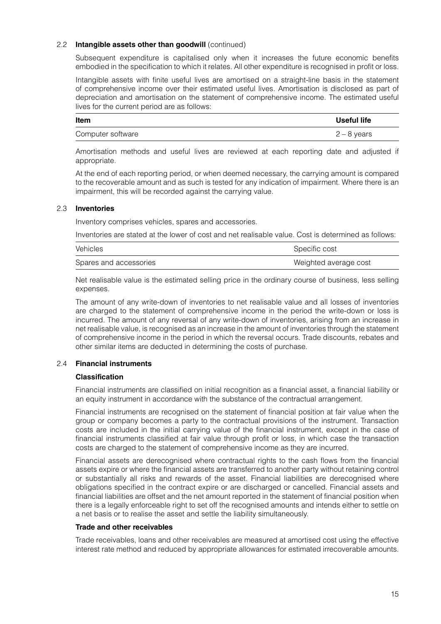#### 2.2 **Intangible assets other than goodwill** (continued)

Subsequent expenditure is capitalised only when it increases the future economic benefits embodied in the specification to which it relates. All other expenditure is recognised in profit or loss.

Intangible assets with finite useful lives are amortised on a straight-line basis in the statement of comprehensive income over their estimated useful lives. Amortisation is disclosed as part of depreciation and amortisation on the statement of comprehensive income. The estimated useful lives for the current period are as follows:

| Item              | Useful life |
|-------------------|-------------|
| Computer software | 2 – 8 years |

Amortisation methods and useful lives are reviewed at each reporting date and adjusted if appropriate.

At the end of each reporting period, or when deemed necessary, the carrying amount is compared to the recoverable amount and as such is tested for any indication of impairment. Where there is an impairment, this will be recorded against the carrying value.

#### 2.3 **Inventories**

Inventory comprises vehicles, spares and accessories.

Inventories are stated at the lower of cost and net realisable value. Cost is determined as follows:

| Vehicles               | Specific cost         |
|------------------------|-----------------------|
| Spares and accessories | Weighted average cost |

Net realisable value is the estimated selling price in the ordinary course of business, less selling expenses.

The amount of any write-down of inventories to net realisable value and all losses of inventories are charged to the statement of comprehensive income in the period the write-down or loss is incurred. The amount of any reversal of any write-down of inventories, arising from an increase in net realisable value, is recognised as an increase in the amount of inventories through the statement of comprehensive income in the period in which the reversal occurs. Trade discounts, rebates and other similar items are deducted in determining the costs of purchase.

#### 2.4 **Financial instruments**

#### **Classification**

Financial instruments are classified on initial recognition as a financial asset, a financial liability or an equity instrument in accordance with the substance of the contractual arrangement.

Financial instruments are recognised on the statement of financial position at fair value when the group or company becomes a party to the contractual provisions of the instrument. Transaction costs are included in the initial carrying value of the financial instrument, except in the case of financial instruments classified at fair value through profit or loss, in which case the transaction costs are charged to the statement of comprehensive income as they are incurred.

Financial assets are derecognised where contractual rights to the cash flows from the financial assets expire or where the financial assets are transferred to another party without retaining control or substantially all risks and rewards of the asset. Financial liabilities are derecognised where obligations specified in the contract expire or are discharged or cancelled. Financial assets and financial liabilities are offset and the net amount reported in the statement of financial position when there is a legally enforceable right to set off the recognised amounts and intends either to settle on a net basis or to realise the asset and settle the liability simultaneously.

#### **Trade and other receivables**

Trade receivables, loans and other receivables are measured at amortised cost using the effective interest rate method and reduced by appropriate allowances for estimated irrecoverable amounts.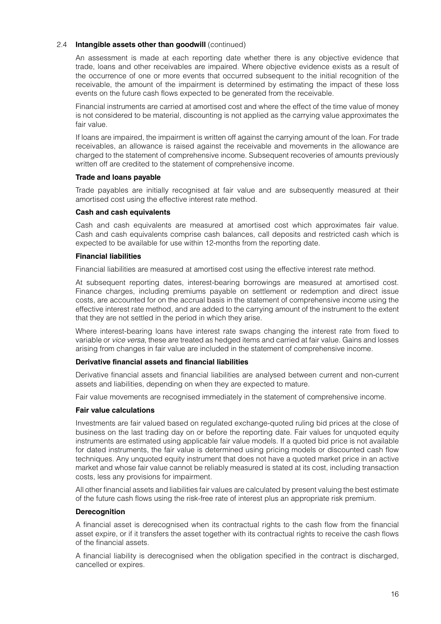#### 2.4 **Intangible assets other than goodwill** (continued)

An assessment is made at each reporting date whether there is any objective evidence that trade, loans and other receivables are impaired. Where objective evidence exists as a result of the occurrence of one or more events that occurred subsequent to the initial recognition of the receivable, the amount of the impairment is determined by estimating the impact of these loss events on the future cash flows expected to be generated from the receivable.

Financial instruments are carried at amortised cost and where the effect of the time value of money is not considered to be material, discounting is not applied as the carrying value approximates the fair value.

If loans are impaired, the impairment is written off against the carrying amount of the loan. For trade receivables, an allowance is raised against the receivable and movements in the allowance are charged to the statement of comprehensive income. Subsequent recoveries of amounts previously written off are credited to the statement of comprehensive income.

#### **Trade and loans payable**

Trade payables are initially recognised at fair value and are subsequently measured at their amortised cost using the effective interest rate method.

#### **Cash and cash equivalents**

Cash and cash equivalents are measured at amortised cost which approximates fair value. Cash and cash equivalents comprise cash balances, call deposits and restricted cash which is expected to be available for use within 12-months from the reporting date.

#### **Financial liabilities**

Financial liabilities are measured at amortised cost using the effective interest rate method.

At subsequent reporting dates, interest-bearing borrowings are measured at amortised cost. Finance charges, including premiums payable on settlement or redemption and direct issue costs, are accounted for on the accrual basis in the statement of comprehensive income using the effective interest rate method, and are added to the carrying amount of the instrument to the extent that they are not settled in the period in which they arise.

Where interest-bearing loans have interest rate swaps changing the interest rate from fixed to variable or *vice versa*, these are treated as hedged items and carried at fair value. Gains and losses arising from changes in fair value are included in the statement of comprehensive income.

#### **Derivative financial assets and financial liabilities**

Derivative financial assets and financial liabilities are analysed between current and non-current assets and liabilities, depending on when they are expected to mature.

Fair value movements are recognised immediately in the statement of comprehensive income.

#### **Fair value calculations**

Investments are fair valued based on regulated exchange-quoted ruling bid prices at the close of business on the last trading day on or before the reporting date. Fair values for unquoted equity instruments are estimated using applicable fair value models. If a quoted bid price is not available for dated instruments, the fair value is determined using pricing models or discounted cash flow techniques. Any unquoted equity instrument that does not have a quoted market price in an active market and whose fair value cannot be reliably measured is stated at its cost, including transaction costs, less any provisions for impairment.

All other financial assets and liabilities fair values are calculated by present valuing the best estimate of the future cash flows using the risk-free rate of interest plus an appropriate risk premium.

#### **Derecognition**

A financial asset is derecognised when its contractual rights to the cash flow from the financial asset expire, or if it transfers the asset together with its contractual rights to receive the cash flows of the financial assets.

A financial liability is derecognised when the obligation specified in the contract is discharged, cancelled or expires.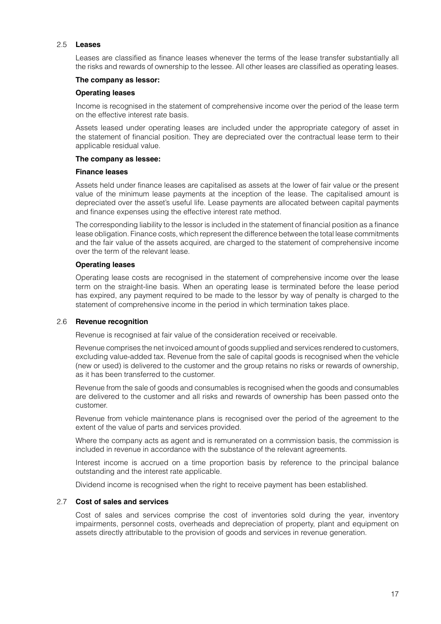#### 2.5 **Leases**

Leases are classified as finance leases whenever the terms of the lease transfer substantially all the risks and rewards of ownership to the lessee. All other leases are classified as operating leases.

#### **The company as lessor:**

#### **Operating leases**

Income is recognised in the statement of comprehensive income over the period of the lease term on the effective interest rate basis.

Assets leased under operating leases are included under the appropriate category of asset in the statement of financial position. They are depreciated over the contractual lease term to their applicable residual value.

#### **The company as lessee:**

#### **Finance leases**

Assets held under finance leases are capitalised as assets at the lower of fair value or the present value of the minimum lease payments at the inception of the lease. The capitalised amount is depreciated over the asset's useful life. Lease payments are allocated between capital payments and finance expenses using the effective interest rate method.

The corresponding liability to the lessor is included in the statement of financial position as a finance lease obligation. Finance costs, which represent the difference between the total lease commitments and the fair value of the assets acquired, are charged to the statement of comprehensive income over the term of the relevant lease.

#### **Operating leases**

Operating lease costs are recognised in the statement of comprehensive income over the lease term on the straight-line basis. When an operating lease is terminated before the lease period has expired, any payment required to be made to the lessor by way of penalty is charged to the statement of comprehensive income in the period in which termination takes place.

#### 2.6 **Revenue recognition**

Revenue is recognised at fair value of the consideration received or receivable.

Revenue comprises the net invoiced amount of goods supplied and services rendered to customers, excluding value-added tax. Revenue from the sale of capital goods is recognised when the vehicle (new or used) is delivered to the customer and the group retains no risks or rewards of ownership, as it has been transferred to the customer.

Revenue from the sale of goods and consumables is recognised when the goods and consumables are delivered to the customer and all risks and rewards of ownership has been passed onto the customer.

Revenue from vehicle maintenance plans is recognised over the period of the agreement to the extent of the value of parts and services provided.

Where the company acts as agent and is remunerated on a commission basis, the commission is included in revenue in accordance with the substance of the relevant agreements.

Interest income is accrued on a time proportion basis by reference to the principal balance outstanding and the interest rate applicable.

Dividend income is recognised when the right to receive payment has been established.

#### 2.7 **Cost of sales and services**

Cost of sales and services comprise the cost of inventories sold during the year, inventory impairments, personnel costs, overheads and depreciation of property, plant and equipment on assets directly attributable to the provision of goods and services in revenue generation.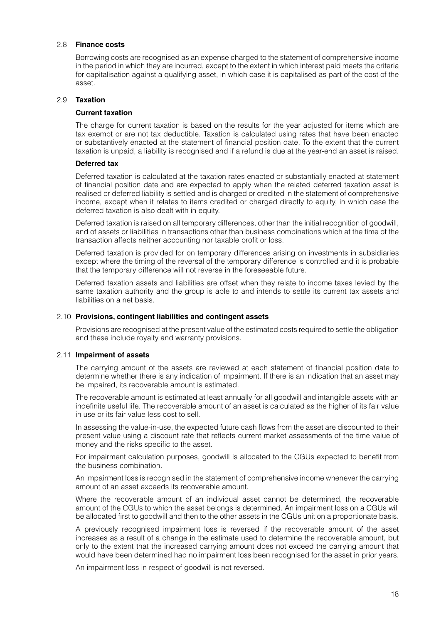#### 2.8 **Finance costs**

Borrowing costs are recognised as an expense charged to the statement of comprehensive income in the period in which they are incurred, except to the extent in which interest paid meets the criteria for capitalisation against a qualifying asset, in which case it is capitalised as part of the cost of the asset.

#### 2.9 **Taxation**

#### **Current taxation**

The charge for current taxation is based on the results for the year adjusted for items which are tax exempt or are not tax deductible. Taxation is calculated using rates that have been enacted or substantively enacted at the statement of financial position date. To the extent that the current taxation is unpaid, a liability is recognised and if a refund is due at the year-end an asset is raised.

#### **Deferred tax**

Deferred taxation is calculated at the taxation rates enacted or substantially enacted at statement of financial position date and are expected to apply when the related deferred taxation asset is realised or deferred liability is settled and is charged or credited in the statement of comprehensive income, except when it relates to items credited or charged directly to equity, in which case the deferred taxation is also dealt with in equity.

Deferred taxation is raised on all temporary differences, other than the initial recognition of goodwill, and of assets or liabilities in transactions other than business combinations which at the time of the transaction affects neither accounting nor taxable profit or loss.

Deferred taxation is provided for on temporary differences arising on investments in subsidiaries except where the timing of the reversal of the temporary difference is controlled and it is probable that the temporary difference will not reverse in the foreseeable future.

Deferred taxation assets and liabilities are offset when they relate to income taxes levied by the same taxation authority and the group is able to and intends to settle its current tax assets and liabilities on a net basis.

#### 2.10 **Provisions, contingent liabilities and contingent assets**

Provisions are recognised at the present value of the estimated costs required to settle the obligation and these include royalty and warranty provisions.

#### 2.11 **Impairment of assets**

The carrying amount of the assets are reviewed at each statement of financial position date to determine whether there is any indication of impairment. If there is an indication that an asset may be impaired, its recoverable amount is estimated.

The recoverable amount is estimated at least annually for all goodwill and intangible assets with an indefinite useful life. The recoverable amount of an asset is calculated as the higher of its fair value in use or its fair value less cost to sell.

In assessing the value-in-use, the expected future cash flows from the asset are discounted to their present value using a discount rate that reflects current market assessments of the time value of money and the risks specific to the asset.

For impairment calculation purposes, goodwill is allocated to the CGUs expected to benefit from the business combination.

An impairment loss is recognised in the statement of comprehensive income whenever the carrying amount of an asset exceeds its recoverable amount.

Where the recoverable amount of an individual asset cannot be determined, the recoverable amount of the CGUs to which the asset belongs is determined. An impairment loss on a CGUs will be allocated first to goodwill and then to the other assets in the CGUs unit on a proportionate basis.

A previously recognised impairment loss is reversed if the recoverable amount of the asset increases as a result of a change in the estimate used to determine the recoverable amount, but only to the extent that the increased carrying amount does not exceed the carrying amount that would have been determined had no impairment loss been recognised for the asset in prior years.

An impairment loss in respect of goodwill is not reversed.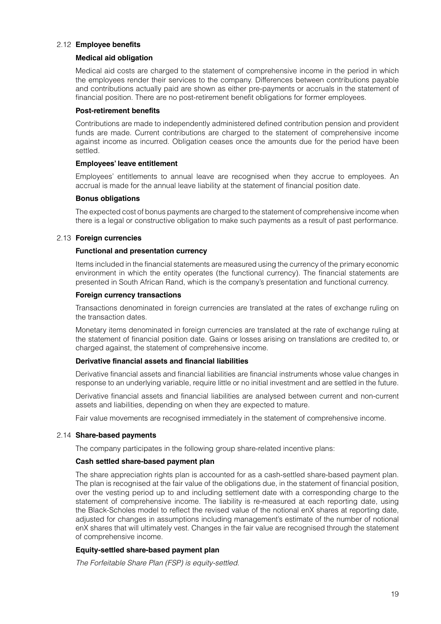#### 2.12 **Employee benefits**

#### **Medical aid obligation**

Medical aid costs are charged to the statement of comprehensive income in the period in which the employees render their services to the company. Differences between contributions payable and contributions actually paid are shown as either pre-payments or accruals in the statement of financial position. There are no post-retirement benefit obligations for former employees.

#### **Post-retirement benefits**

Contributions are made to independently administered defined contribution pension and provident funds are made. Current contributions are charged to the statement of comprehensive income against income as incurred. Obligation ceases once the amounts due for the period have been settled.

#### **Employees' leave entitlement**

Employees' entitlements to annual leave are recognised when they accrue to employees. An accrual is made for the annual leave liability at the statement of financial position date.

#### **Bonus obligations**

The expected cost of bonus payments are charged to the statement of comprehensive income when there is a legal or constructive obligation to make such payments as a result of past performance.

#### 2.13 **Foreign currencies**

#### **Functional and presentation currency**

Items included in the financial statements are measured using the currency of the primary economic environment in which the entity operates (the functional currency). The financial statements are presented in South African Rand, which is the company's presentation and functional currency.

#### **Foreign currency transactions**

Transactions denominated in foreign currencies are translated at the rates of exchange ruling on the transaction dates.

Monetary items denominated in foreign currencies are translated at the rate of exchange ruling at the statement of financial position date. Gains or losses arising on translations are credited to, or charged against, the statement of comprehensive income.

#### **Derivative financial assets and financial liabilities**

Derivative financial assets and financial liabilities are financial instruments whose value changes in response to an underlying variable, require little or no initial investment and are settled in the future.

Derivative financial assets and financial liabilities are analysed between current and non-current assets and liabilities, depending on when they are expected to mature.

Fair value movements are recognised immediately in the statement of comprehensive income.

#### 2.14 **Share-based payments**

The company participates in the following group share-related incentive plans:

#### **Cash settled share-based payment plan**

The share appreciation rights plan is accounted for as a cash-settled share-based payment plan. The plan is recognised at the fair value of the obligations due, in the statement of financial position, over the vesting period up to and including settlement date with a corresponding charge to the statement of comprehensive income. The liability is re-measured at each reporting date, using the Black-Scholes model to reflect the revised value of the notional enX shares at reporting date, adjusted for changes in assumptions including management's estimate of the number of notional enX shares that will ultimately vest. Changes in the fair value are recognised through the statement of comprehensive income.

#### **Equity-settled share-based payment plan**

*The Forfeitable Share Plan (FSP) is equity-settled.*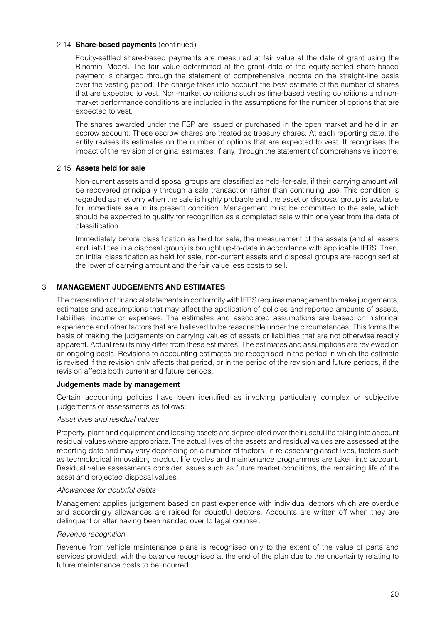#### 2.14 **Share-based payments** (continued)

Equity-settled share-based payments are measured at fair value at the date of grant using the Binomial Model. The fair value determined at the grant date of the equity-settled share-based payment is charged through the statement of comprehensive income on the straight-line basis over the vesting period. The charge takes into account the best estimate of the number of shares that are expected to vest. Non-market conditions such as time-based vesting conditions and nonmarket performance conditions are included in the assumptions for the number of options that are expected to vest.

The shares awarded under the FSP are issued or purchased in the open market and held in an escrow account. These escrow shares are treated as treasury shares. At each reporting date, the entity revises its estimates on the number of options that are expected to vest. It recognises the impact of the revision of original estimates, if any, through the statement of comprehensive income.

#### 2.15 **Assets held for sale**

Non-current assets and disposal groups are classified as held-for-sale, if their carrying amount will be recovered principally through a sale transaction rather than continuing use. This condition is regarded as met only when the sale is highly probable and the asset or disposal group is available for immediate sale in its present condition. Management must be committed to the sale, which should be expected to qualify for recognition as a completed sale within one year from the date of classification.

Immediately before classification as held for sale, the measurement of the assets (and all assets and liabilities in a disposal group) is brought up-to-date in accordance with applicable IFRS. Then, on initial classification as held for sale, non-current assets and disposal groups are recognised at the lower of carrying amount and the fair value less costs to sell.

#### 3. **MANAGEMENT JUDGEMENTS AND ESTIMATES**

The preparation of financial statements in conformity with IFRS requires management to make judgements, estimates and assumptions that may affect the application of policies and reported amounts of assets, liabilities, income or expenses. The estimates and associated assumptions are based on historical experience and other factors that are believed to be reasonable under the circumstances. This forms the basis of making the judgements on carrying values of assets or liabilities that are not otherwise readily apparent. Actual results may differ from these estimates. The estimates and assumptions are reviewed on an ongoing basis. Revisions to accounting estimates are recognised in the period in which the estimate is revised if the revision only affects that period, or in the period of the revision and future periods, if the revision affects both current and future periods.

#### **Judgements made by management**

Certain accounting policies have been identified as involving particularly complex or subjective judgements or assessments as follows:

#### *Asset lives and residual values*

Property, plant and equipment and leasing assets are depreciated over their useful life taking into account residual values where appropriate. The actual lives of the assets and residual values are assessed at the reporting date and may vary depending on a number of factors. In re-assessing asset lives, factors such as technological innovation, product life cycles and maintenance programmes are taken into account. Residual value assessments consider issues such as future market conditions, the remaining life of the asset and projected disposal values.

#### *Allowances for doubtful debts*

Management applies judgement based on past experience with individual debtors which are overdue and accordingly allowances are raised for doubtful debtors. Accounts are written off when they are delinquent or after having been handed over to legal counsel.

#### *Revenue recognition*

Revenue from vehicle maintenance plans is recognised only to the extent of the value of parts and services provided, with the balance recognised at the end of the plan due to the uncertainty relating to future maintenance costs to be incurred.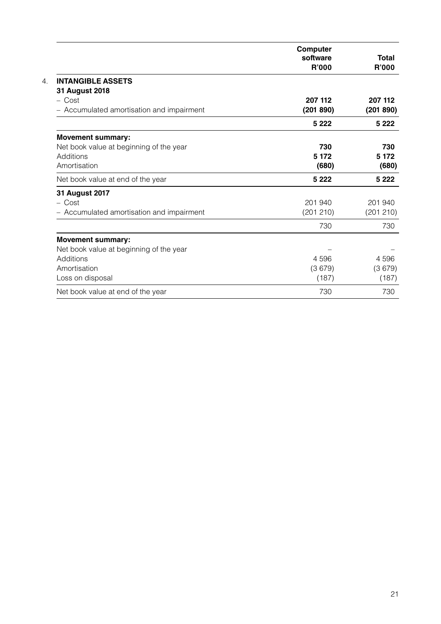|                                           | <b>Computer</b><br>software<br>R'000 | Total<br>R'000 |
|-------------------------------------------|--------------------------------------|----------------|
| <b>INTANGIBLE ASSETS</b>                  |                                      |                |
| 31 August 2018                            |                                      |                |
| - Cost                                    | 207 112                              | 207 112        |
| - Accumulated amortisation and impairment | (201 890)                            | (201 890)      |
|                                           | 5 2 2 2                              | 5 2 2 2        |
| <b>Movement summary:</b>                  |                                      |                |
| Net book value at beginning of the year   | 730                                  | 730            |
| Additions                                 | 5 1 7 2                              | 5 1 7 2        |
| Amortisation                              | (680)                                | (680)          |
| Net book value at end of the year         | 5 2 2 2                              | 5 2 2 2        |
| 31 August 2017                            |                                      |                |
| - Cost                                    | 201 940                              | 201 940        |
| - Accumulated amortisation and impairment | (201 210)                            | (201 210)      |
|                                           | 730                                  | 730            |
| <b>Movement summary:</b>                  |                                      |                |
| Net book value at beginning of the year   |                                      |                |
| <b>Additions</b>                          | 4596                                 | 4 5 9 6        |
| Amortisation                              | (3679)                               | (3679)         |
| Loss on disposal                          | (187)                                | (187)          |
| Net book value at end of the year         | 730                                  | 730            |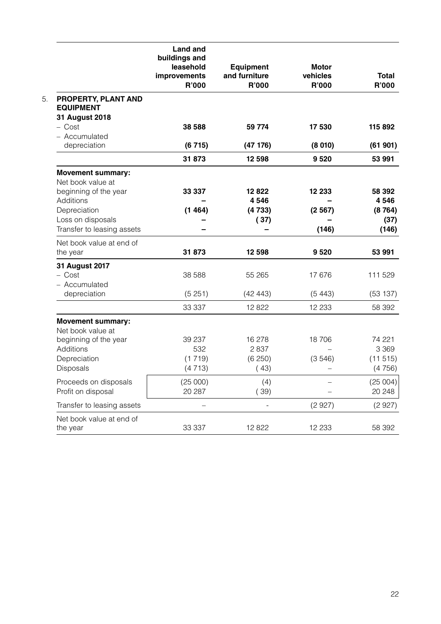|                                                         | <b>Land and</b><br>buildings and<br>leasehold<br>improvements<br>R'000 | <b>Equipment</b><br>and furniture<br>R'000 | <b>Motor</b><br>vehicles<br>R'000 | <b>Total</b><br>R'000 |
|---------------------------------------------------------|------------------------------------------------------------------------|--------------------------------------------|-----------------------------------|-----------------------|
| PROPERTY, PLANT AND<br><b>EQUIPMENT</b>                 |                                                                        |                                            |                                   |                       |
| 31 August 2018<br>- Cost<br>- Accumulated               | 38 588                                                                 | 59 774                                     | 17 530                            | 115 892               |
| depreciation                                            | (6715)                                                                 | (47176)                                    | (8010)                            | (61901)               |
|                                                         | 31 873                                                                 | 12 598                                     | 9520                              | 53 991                |
| <b>Movement summary:</b>                                |                                                                        |                                            |                                   |                       |
| Net book value at<br>beginning of the year<br>Additions | 33 337                                                                 | 12822<br>4546                              | 12 233                            | 58 392<br>4546        |
| Depreciation                                            | (1464)                                                                 | (4733)                                     | (2567)                            | (8764)                |
| Loss on disposals<br>Transfer to leasing assets         |                                                                        | (37)                                       | (146)                             | (37)<br>(146)         |
| Net book value at end of<br>the year                    | 31 873                                                                 | 12 598                                     | 9520                              | 53 991                |
| 31 August 2017                                          |                                                                        |                                            |                                   |                       |
| - Cost                                                  | 38 588                                                                 | 55 265                                     | 17676                             | 111 529               |
| - Accumulated<br>depreciation                           | (5251)                                                                 | (4243)                                     | (5443)                            | (53 137)              |
|                                                         | 33 337                                                                 | 12822                                      | 12 233                            | 58 392                |
| <b>Movement summary:</b><br>Net book value at           |                                                                        |                                            |                                   |                       |
| beginning of the year                                   | 39 237                                                                 | 16 278                                     | 18706                             | 74 221                |
| <b>Additions</b><br>Depreciation                        | 532<br>(1719)                                                          | 2837<br>(6250)                             | (3546)                            | 3 3 6 9<br>(11515)    |
| Disposals                                               | (4713)                                                                 | (43)                                       |                                   | (4756)                |
| Proceeds on disposals                                   | (25000)                                                                | (4)                                        |                                   | (25004)               |
| Profit on disposal                                      | 20 287                                                                 | (39)                                       |                                   | 20 248                |
| Transfer to leasing assets                              |                                                                        | $\overline{a}$                             | (2927)                            | (2927)                |
| Net book value at end of<br>the year                    | 33 337                                                                 | 12 822                                     | 12 2 3 3                          | 58 392                |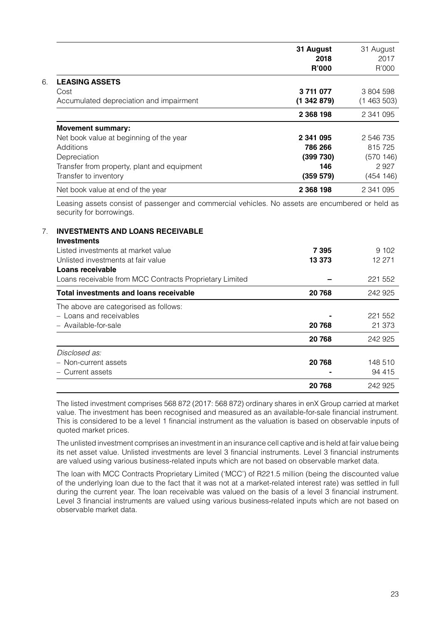|                                                          | 31 August | 31 August |
|----------------------------------------------------------|-----------|-----------|
|                                                          | 2018      | 2017      |
|                                                          | R'000     | R'000     |
| <b>LEASING ASSETS</b>                                    |           |           |
| Cost                                                     | 3711077   | 3 804 598 |
| Accumulated depreciation and impairment                  | (1342879) | (1463503) |
|                                                          | 2 368 198 | 2 341 095 |
| <b>Movement summary:</b>                                 |           |           |
| Net book value at beginning of the year                  | 2 341 095 | 2 546 735 |
| <b>Additions</b>                                         | 786 266   | 815 725   |
| Depreciation                                             | (399730)  | (570146)  |
| Transfer from property, plant and equipment              | 146       | 2927      |
| Transfer to inventory                                    | (359 579) | (454 146) |
| Net book value at end of the year                        | 2 368 198 | 2 341 095 |
| <b>Investments</b><br>Listed investments at market value | 7 3 9 5   | 9 102     |
| Unlisted investments at fair value                       | 13 373    | 12 27 1   |
| <b>Loans receivable</b>                                  |           |           |
| Loans receivable from MCC Contracts Proprietary Limited  |           | 221 552   |
| <b>Total investments and loans receivable</b>            | 20 768    | 242 925   |
| The above are categorised as follows:                    |           |           |
| - Loans and receivables                                  |           | 221 552   |
| - Available-for-sale                                     | 20 768    | 21 373    |
|                                                          | 20 768    | 242 925   |
| Disclosed as:                                            |           |           |
| - Non-current assets                                     | 20 768    | 148 510   |
| - Current assets                                         |           |           |
|                                                          |           | 94 415    |

The listed investment comprises 568 872 (2017: 568 872) ordinary shares in enX Group carried at market value. The investment has been recognised and measured as an available-for-sale financial instrument. This is considered to be a level 1 financial instrument as the valuation is based on observable inputs of quoted market prices.

The unlisted investment comprises an investment in an insurance cell captive and is held at fair value being its net asset value. Unlisted investments are level 3 financial instruments. Level 3 financial instruments are valued using various business-related inputs which are not based on observable market data.

The loan with MCC Contracts Proprietary Limited ('MCC') of R221.5 million (being the discounted value of the underlying loan due to the fact that it was not at a market-related interest rate) was settled in full during the current year. The loan receivable was valued on the basis of a level 3 financial instrument. Level 3 financial instruments are valued using various business-related inputs which are not based on observable market data.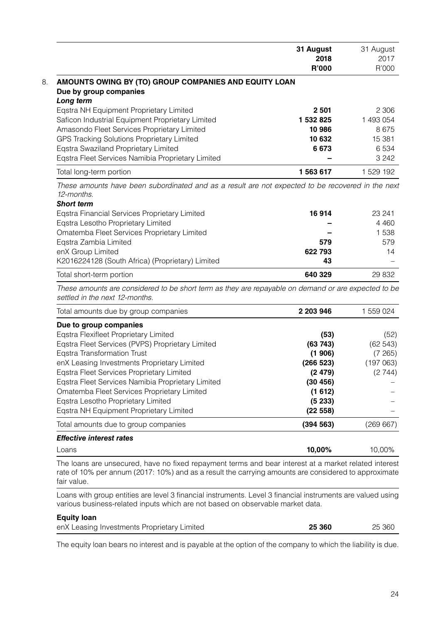|                                                                                                                                       | 31 August<br>2018<br>R'000 | 31 August<br>2017<br>R'000 |
|---------------------------------------------------------------------------------------------------------------------------------------|----------------------------|----------------------------|
| AMOUNTS OWING BY (TO) GROUP COMPANIES AND EQUITY LOAN                                                                                 |                            |                            |
| Due by group companies                                                                                                                |                            |                            |
| Long term<br>Eqstra NH Equipment Proprietary Limited                                                                                  | 2 501                      | 2 3 0 6                    |
| Saficon Industrial Equipment Proprietary Limited                                                                                      | 1 532 825                  | 1 493 054                  |
| Amasondo Fleet Services Proprietary Limited                                                                                           | 10 986                     | 8675                       |
| GPS Tracking Solutions Proprietary Limited                                                                                            | 10 632                     | 15 381                     |
| Eqstra Swaziland Proprietary Limited                                                                                                  | 6673                       | 6534                       |
| Eqstra Fleet Services Namibia Proprietary Limited                                                                                     |                            | 3 2 4 2                    |
| Total long-term portion                                                                                                               | 1 563 617                  | 1 529 192                  |
| These amounts have been subordinated and as a result are not expected to be recovered in the next<br>12-months.                       |                            |                            |
| <b>Short term</b>                                                                                                                     |                            |                            |
| Eqstra Financial Services Proprietary Limited                                                                                         | 16 914                     | 23 241                     |
| Eqstra Lesotho Proprietary Limited                                                                                                    |                            | 4 4 6 0                    |
| Omatemba Fleet Services Proprietary Limited                                                                                           |                            | 1538                       |
| Eqstra Zambia Limited                                                                                                                 | 579                        | 579                        |
| enX Group Limited                                                                                                                     | 622793                     | 14                         |
| K2016224128 (South Africa) (Proprietary) Limited                                                                                      | 43                         |                            |
| Total short-term portion                                                                                                              | 640 329                    | 29 832                     |
| These amounts are considered to be short term as they are repayable on demand or are expected to be<br>settled in the next 12-months. |                            |                            |
| Total amounts due by group companies                                                                                                  | 2 203 946                  | 1 559 024                  |
| Due to group companies                                                                                                                |                            |                            |
| Eqstra Flexifleet Proprietary Limited                                                                                                 | (53)                       | (52)                       |
| Eqstra Fleet Services (PVPS) Proprietary Limited                                                                                      | (63743)                    | (62543)                    |
| Egstra Transformation Trust                                                                                                           | (1906)                     | (7265)                     |
| enX Leasing Investments Proprietary Limited                                                                                           | (266523)                   | (197063)                   |
| Eqstra Fleet Services Proprietary Limited                                                                                             | (2479)                     | (2744)                     |
| Eqstra Fleet Services Namibia Proprietary Limited                                                                                     | (30456)                    |                            |
| Omatemba Fleet Services Proprietary Limited                                                                                           | (1612)                     |                            |
| Eqstra Lesotho Proprietary Limited                                                                                                    | (5233)                     |                            |
| Eastro NH Equipment Propriatory Limited                                                                                               | $(22)$ EEQ)                |                            |

| Equipment Frophetally Limited        | 122 JJOJ  |          |
|--------------------------------------|-----------|----------|
| Total amounts due to group companies | (394563)  | (269667) |
| <b>Effective interest rates</b>      |           |          |
| Loans                                | $10.00\%$ | 10,00%   |

The loans are unsecured, have no fixed repayment terms and bear interest at a market related interest rate of 10% per annum (2017: 10%) and as a result the carrying amounts are considered to approximate fair value.

Loans with group entities are level 3 financial instruments. Level 3 financial instruments are valued using various business-related inputs which are not based on observable market data.

#### **Equity loan**

| enX Leasing Investments Proprietary Limited | 25 360 | 25 360 |
|---------------------------------------------|--------|--------|
|---------------------------------------------|--------|--------|

The equity loan bears no interest and is payable at the option of the company to which the liability is due.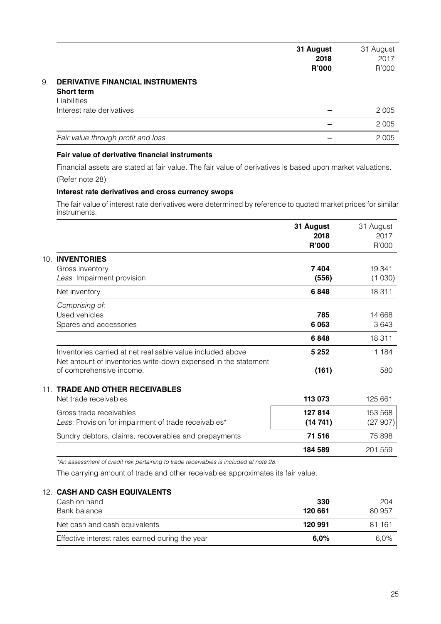|    |                                         | 31 August    | 31 August |
|----|-----------------------------------------|--------------|-----------|
|    |                                         | 2018         | 2017      |
|    |                                         | <b>R'000</b> | R'000     |
| 9. | <b>DERIVATIVE FINANCIAL INSTRUMENTS</b> |              |           |
|    | <b>Short term</b>                       |              |           |
|    | Liabilities                             |              |           |
|    | Interest rate derivatives               |              | 2 0 0 5   |
|    |                                         |              | 2 0 0 5   |
|    | Fair value through profit and loss      |              | 2 0 0 5   |
|    |                                         |              |           |

#### **Fair value of derivative financial instruments**

Financial assets are stated at fair value. The fair value of derivatives is based upon market valuations. (Refer note 28)

#### **Interest rate derivatives and cross currency swops**

The fair value of interest rate derivatives were determined by reference to quoted market prices for similar instruments.

|                                                                                                                              | 31 August<br>2018<br><b>R'000</b> | 31 August<br>2017<br>R'000 |
|------------------------------------------------------------------------------------------------------------------------------|-----------------------------------|----------------------------|
| <b>10. INVENTORIES</b>                                                                                                       |                                   |                            |
| Gross inventory                                                                                                              | 7404                              | 19 341                     |
| Less: Impairment provision                                                                                                   | (556)                             | (1030)                     |
| Net inventory                                                                                                                | 6848                              | 18 3 11                    |
| Comprising of:                                                                                                               |                                   |                            |
| Used vehicles                                                                                                                | 785                               | 14 668                     |
| Spares and accessories                                                                                                       | 6 0 63                            | 3643                       |
|                                                                                                                              | 6848                              | 18 3 11                    |
| Inventories carried at net realisable value included above<br>Net amount of inventories write-down expensed in the statement | 5 2 5 2                           | 1 184                      |
| of comprehensive income.                                                                                                     | (161)                             | 580                        |
| <b>TRADE AND OTHER RECEIVABLES</b><br>$11 -$                                                                                 |                                   |                            |
| Net trade receivables                                                                                                        | 113 073                           | 125 661                    |
| Gross trade receivables                                                                                                      | 127814                            | 153 568                    |
| Less: Provision for impairment of trade receivables*                                                                         | (14741)                           | (27907)                    |
| Sundry debtors, claims, recoverables and prepayments                                                                         | 71 516                            | 75 898                     |
|                                                                                                                              | 184 589                           | 201 559                    |

*\*An assessment of credit risk pertaining to trade receivables is included at note 28.*

The carrying amount of trade and other receivables approximates its fair value.

# 12. **CASH AND CASH EQUIVALENTS**

| Cash on hand                                    | 330     | 204     |
|-------------------------------------------------|---------|---------|
| Bank balance                                    | 120 661 | 80 957  |
| Net cash and cash equivalents                   | 120 991 | 81 161  |
| Effective interest rates earned during the year | $6.0\%$ | $6.0\%$ |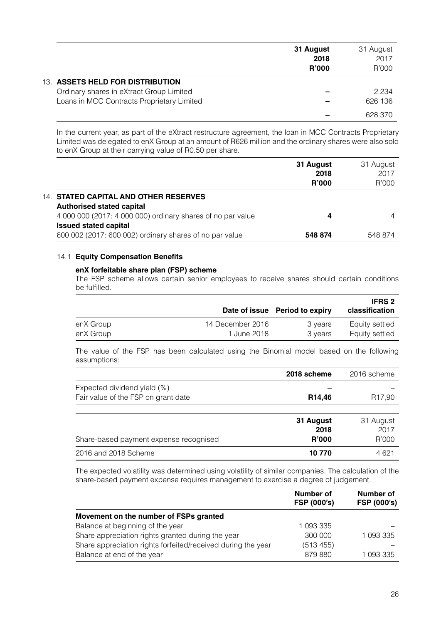|                                            | 31 August<br>2018<br>R'000 | 31 August<br>2017<br>R'000 |
|--------------------------------------------|----------------------------|----------------------------|
| 13. ASSETS HELD FOR DISTRIBUTION           |                            |                            |
| Ordinary shares in eXtract Group Limited   |                            | 2 2 3 4                    |
| Loans in MCC Contracts Proprietary Limited |                            | 626 136                    |
|                                            |                            | 628.370                    |

In the current year, as part of the eXtract restructure agreement, the loan in MCC Contracts Proprietary Limited was delegated to enX Group at an amount of R626 million and the ordinary shares were also sold to enX Group at their carrying value of R0.50 per share.

|                                                             | 31 August<br>2018<br><b>R'000</b> | 31 August<br>2017<br>R'000 |
|-------------------------------------------------------------|-----------------------------------|----------------------------|
| 14. STATED CAPITAL AND OTHER RESERVES                       |                                   |                            |
| <b>Authorised stated capital</b>                            |                                   |                            |
| 4 000 000 (2017: 4 000 000) ordinary shares of no par value | 4                                 | 4                          |
| <b>Issued stated capital</b>                                |                                   |                            |
| 600 002 (2017: 600 002) ordinary shares of no par value     | 548 874                           | 548 874                    |

#### 14.1 **Equity Compensation Benefits**

#### **enX forfeitable share plan (FSP) scheme**

The FSP scheme allows certain senior employees to receive shares should certain conditions be fulfilled.

|           |                  | Date of issue Period to expiry | <b>IFRS 2</b><br>classification |
|-----------|------------------|--------------------------------|---------------------------------|
| enX Group | 14 December 2016 | 3 years                        | Equity settled                  |
| enX Group | 1 June 2018      | 3 vears                        | Equity settled                  |

The value of the FSP has been calculated using the Binomial model based on the following assumptions:

|                                        | 2018 scheme         | 2016 scheme        |
|----------------------------------------|---------------------|--------------------|
| Expected dividend yield (%)            |                     |                    |
| Fair value of the FSP on grant date    | R <sub>14</sub> ,46 | R <sub>17,90</sub> |
|                                        |                     |                    |
|                                        | 31 August           | 31 August          |
|                                        | 2018                | 2017               |
| Share-based payment expense recognised | <b>R'000</b>        | R'000              |
| 2016 and 2018 Scheme                   | 10 770              | 4 621              |

The expected volatility was determined using volatility of similar companies. The calculation of the share-based payment expense requires management to exercise a degree of judgement.

|                                                              | Number of<br><b>FSP (000's)</b> | Number of<br><b>FSP (000's)</b> |
|--------------------------------------------------------------|---------------------------------|---------------------------------|
| Movement on the number of FSPs granted                       |                                 |                                 |
| Balance at beginning of the year                             | 1 093 335                       |                                 |
| Share appreciation rights granted during the year            | 300 000                         | 1 093 335                       |
| Share appreciation rights forfeited/received during the year | (513 455)                       |                                 |
| Balance at end of the year                                   | 879 880                         | 1 093 335                       |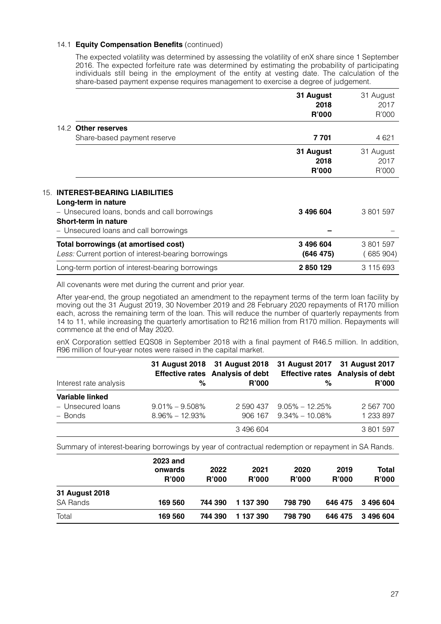#### 14.1 **Equity Compensation Benefits** (continued)

The expected volatility was determined by assessing the volatility of enX share since 1 September 2016. The expected forfeiture rate was determined by estimating the probability of participating individuals still being in the employment of the entity at vesting date. The calculation of the share-based payment expense requires management to exercise a degree of judgement.

|                                                                                                                                       | 31 August<br>2018                 | 31 August<br>2017          |
|---------------------------------------------------------------------------------------------------------------------------------------|-----------------------------------|----------------------------|
|                                                                                                                                       | <b>R'000</b>                      | R'000                      |
| 14.2 Other reserves<br>Share-based payment reserve                                                                                    | 7 701                             | 4621                       |
|                                                                                                                                       | 31 August<br>2018<br><b>R'000</b> | 31 August<br>2017<br>R'000 |
| 15. INTEREST-BEARING LIABILITIES<br>Long-term in nature<br>- Unsecured loans, bonds and call borrowings<br>Short-term in nature       | 3 496 604                         | 3 801 597                  |
| - Unsecured loans and call borrowings<br>Total borrowings (at amortised cost)<br>Less: Current portion of interest-bearing borrowings | 3 496 604<br>(646 475)            | 3 801 597<br>(685904)      |
| Long-term portion of interest-bearing borrowings                                                                                      | 2850129                           | 3 115 693                  |

All covenants were met during the current and prior year.

After year-end, the group negotiated an amendment to the repayment terms of the term loan facility by moving out the 31 August 2019, 30 November 2019 and 28 February 2020 repayments of R170 million each, across the remaining term of the loan. This will reduce the number of quarterly repayments from 14 to 11, while increasing the quarterly amortisation to R216 million from R170 million. Repayments will commence at the end of May 2020.

enX Corporation settled EQS08 in September 2018 with a final payment of R46.5 million. In addition, R96 million of four-year notes were raised in the capital market.

| Interest rate analysis | ℅                  | 31 August 2018 31 August 2018<br><b>Effective rates Analysis of debt</b><br><b>R'000</b> | %                  | 31 August 2017 31 August 2017<br><b>Effective rates Analysis of debt</b><br><b>R'000</b> |
|------------------------|--------------------|------------------------------------------------------------------------------------------|--------------------|------------------------------------------------------------------------------------------|
| Variable linked        |                    |                                                                                          |                    |                                                                                          |
| - Unsecured loans      | $9.01\% - 9.508\%$ | 2 590 437                                                                                | $9.05\% - 12.25\%$ | 2 567 700                                                                                |
| - Bonds                | $8.96\% - 12.93\%$ | 906 167                                                                                  | $9.34\% - 10.08\%$ | 1 233 897                                                                                |
|                        |                    | 3496604                                                                                  |                    | 3 801 597                                                                                |

Summary of interest-bearing borrowings by year of contractual redemption or repayment in SA Rands.

|                 | <b>2023 and</b><br>onwards<br><b>R'000</b> | 2022<br><b>R'000</b> | 2021<br><b>R'000</b> | 2020<br><b>R'000</b> | 2019<br><b>R'000</b> | Total<br><b>R'000</b> |
|-----------------|--------------------------------------------|----------------------|----------------------|----------------------|----------------------|-----------------------|
| 31 August 2018  |                                            |                      |                      |                      |                      |                       |
| <b>SA Rands</b> | 169 560                                    | 744 390              | 1 137 390            | 798 790              | 646 475              | 3496604               |
| Total           | 169 560                                    | 744 390              | 1 137 390            | 798 790              | 646 475              | 3496604               |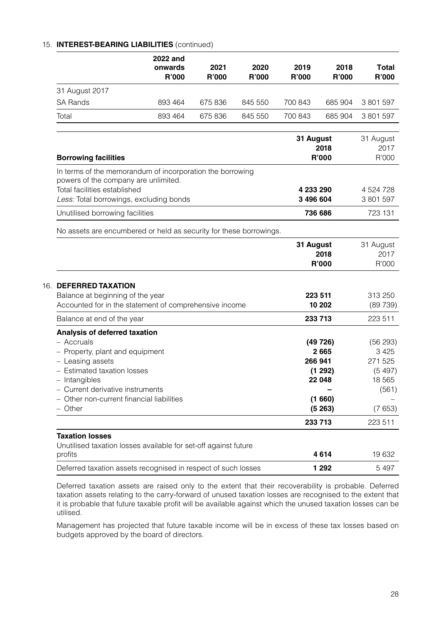### 15. **INTEREST-BEARING LIABILITIES** (continued)

|                                                                                                                                                                                                                                              | 2022 and<br>onwards<br>R'000 | 2021<br>R'000 | 2020<br>R'000 | 2019<br>R'000          | 2018<br>R'000                                                                 | <b>Total</b><br>R'000                                                             |
|----------------------------------------------------------------------------------------------------------------------------------------------------------------------------------------------------------------------------------------------|------------------------------|---------------|---------------|------------------------|-------------------------------------------------------------------------------|-----------------------------------------------------------------------------------|
| 31 August 2017                                                                                                                                                                                                                               |                              |               |               |                        |                                                                               |                                                                                   |
| <b>SA Rands</b>                                                                                                                                                                                                                              | 893 464                      | 675 836       | 845 550       | 700 843                | 685 904                                                                       | 3 801 597                                                                         |
| Total                                                                                                                                                                                                                                        | 893 464                      | 675 836       | 845 550       | 700 843                | 685 904                                                                       | 3 801 597                                                                         |
| <b>Borrowing facilities</b>                                                                                                                                                                                                                  |                              |               |               | 31 August              | 2018<br>R'000                                                                 | 31 August<br>2017<br>R'000                                                        |
| In terms of the memorandum of incorporation the borrowing<br>powers of the company are unlimited.<br>Total facilities established<br>Less: Total borrowings, excluding bonds                                                                 |                              |               |               | 4 233 290<br>3 496 604 |                                                                               | 4 5 24 7 28<br>3 801 597                                                          |
| Unutilised borrowing facilities                                                                                                                                                                                                              |                              |               |               |                        | 736 686                                                                       | 723 131                                                                           |
| No assets are encumbered or held as security for these borrowings.                                                                                                                                                                           |                              |               |               |                        |                                                                               |                                                                                   |
|                                                                                                                                                                                                                                              |                              |               |               | 31 August              | 2018<br>R'000                                                                 | 31 August<br>2017<br>R'000                                                        |
| <b>DEFERRED TAXATION</b><br>16.<br>Balance at beginning of the year<br>Accounted for in the statement of comprehensive income                                                                                                                |                              |               |               |                        | 223 511<br>10 202                                                             | 313 250<br>(89739)                                                                |
| Balance at end of the year                                                                                                                                                                                                                   |                              |               |               |                        | 233 713                                                                       | 223 511                                                                           |
| Analysis of deferred taxation<br>- Accruals<br>- Property, plant and equipment<br>- Leasing assets<br>- Estimated taxation losses<br>- Intangibles<br>- Current derivative instruments<br>Other non-current financial liabilities<br>- Other |                              |               |               |                        | (49726)<br>2665<br>266 941<br>(1292)<br>22 048<br>(1660)<br>(5263)<br>233 713 | (56 293)<br>3 4 2 5<br>271 525<br>(5497)<br>18 5 65<br>(561)<br>(7653)<br>223 511 |
| <b>Taxation losses</b><br>Unutilised taxation losses available for set-off against future<br>profits                                                                                                                                         |                              |               |               |                        | 4614                                                                          | 19 632                                                                            |
| Deferred taxation assets recognised in respect of such losses                                                                                                                                                                                |                              |               |               |                        | 1 2 9 2                                                                       | 5 4 9 7                                                                           |

Deferred taxation assets are raised only to the extent that their recoverability is probable. Deferred taxation assets relating to the carry-forward of unused taxation losses are recognised to the extent that it is probable that future taxable profit will be available against which the unused taxation losses can be utilised.

Management has projected that future taxable income will be in excess of these tax losses based on budgets approved by the board of directors.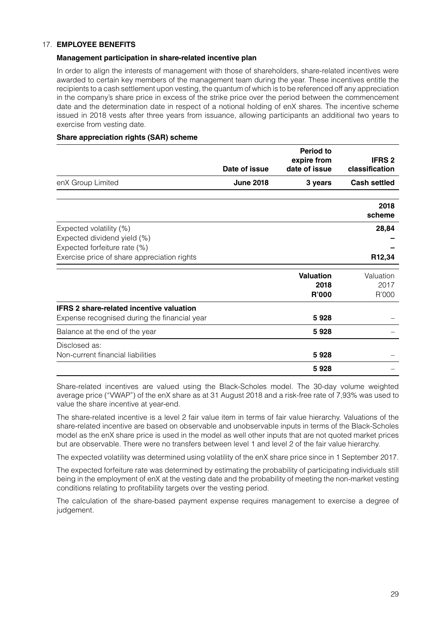#### 17. **EMPLOYEE BENEFITS**

#### **Management participation in share-related incentive plan**

In order to align the interests of management with those of shareholders, share-related incentives were awarded to certain key members of the management team during the year. These incentives entitle the recipients to a cash settlement upon vesting, the quantum of which is to be referenced off any appreciation in the company's share price in excess of the strike price over the period between the commencement date and the determination date in respect of a notional holding of enX shares. The incentive scheme issued in 2018 vests after three years from issuance, allowing participants an additional two years to exercise from vesting date.

#### **Share appreciation rights (SAR) scheme**

|                                                 | Date of issue    | <b>Period to</b><br>expire from<br>date of issue | <b>IFRS 2</b><br>classification |
|-------------------------------------------------|------------------|--------------------------------------------------|---------------------------------|
| enX Group Limited                               | <b>June 2018</b> | 3 years                                          | <b>Cash settled</b>             |
|                                                 |                  |                                                  |                                 |
|                                                 |                  |                                                  | 2018<br>scheme                  |
| Expected volatility (%)                         |                  |                                                  | 28,84                           |
| Expected dividend yield (%)                     |                  |                                                  |                                 |
| Expected forfeiture rate (%)                    |                  |                                                  |                                 |
| Exercise price of share appreciation rights     |                  |                                                  | R12,34                          |
|                                                 |                  | <b>Valuation</b>                                 | Valuation                       |
|                                                 |                  | 2018                                             | 2017                            |
|                                                 |                  | <b>R'000</b>                                     | R'000                           |
| <b>IFRS 2 share-related incentive valuation</b> |                  |                                                  |                                 |
| Expense recognised during the financial year    |                  | 5928                                             |                                 |
| Balance at the end of the year                  |                  | 5928                                             |                                 |
| Disclosed as:                                   |                  |                                                  |                                 |
| Non-current financial liabilities               |                  | 5928                                             |                                 |
|                                                 |                  | 5928                                             |                                 |

Share-related incentives are valued using the Black-Scholes model. The 30-day volume weighted average price ("VWAP") of the enX share as at 31 August 2018 and a risk-free rate of 7,93% was used to value the share incentive at year-end.

The share-related incentive is a level 2 fair value item in terms of fair value hierarchy. Valuations of the share-related incentive are based on observable and unobservable inputs in terms of the Black-Scholes model as the enX share price is used in the model as well other inputs that are not quoted market prices but are observable. There were no transfers between level 1 and level 2 of the fair value hierarchy.

The expected volatility was determined using volatility of the enX share price since in 1 September 2017.

The expected forfeiture rate was determined by estimating the probability of participating individuals still being in the employment of enX at the vesting date and the probability of meeting the non-market vesting conditions relating to profitability targets over the vesting period.

The calculation of the share-based payment expense requires management to exercise a degree of judgement.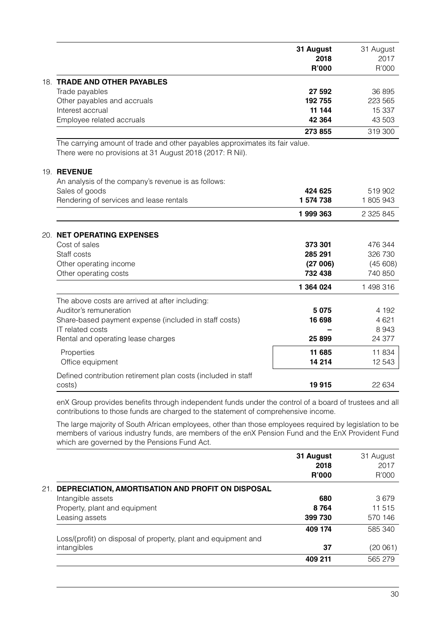|                                                                                                                                           | 31 August<br>2018<br><b>R'000</b> | 31 August<br>2017<br>R'000 |
|-------------------------------------------------------------------------------------------------------------------------------------------|-----------------------------------|----------------------------|
| 18. TRADE AND OTHER PAYABLES                                                                                                              |                                   |                            |
| Trade payables                                                                                                                            | 27 592                            | 36 895                     |
| Other payables and accruals                                                                                                               | 192 755                           | 223 565                    |
| Interest accrual                                                                                                                          | 11 144                            | 15 337                     |
| Employee related accruals                                                                                                                 | 42 364                            | 43 503                     |
|                                                                                                                                           | 273 855                           | 319 300                    |
| The carrying amount of trade and other payables approximates its fair value.<br>There were no provisions at 31 August 2018 (2017: R Nil). |                                   |                            |
| 19. REVENUE                                                                                                                               |                                   |                            |
| An analysis of the company's revenue is as follows:                                                                                       |                                   |                            |
| Sales of goods                                                                                                                            | 424 625                           | 519 902                    |
| Rendering of services and lease rentals                                                                                                   | 1 574 738                         | 1805943                    |
|                                                                                                                                           | 1 999 363                         | 2 325 845                  |
|                                                                                                                                           |                                   |                            |
| 20. NET OPERATING EXPENSES<br>Cost of sales                                                                                               | 373 301                           | 476 344                    |
| Staff costs                                                                                                                               | 285 291                           | 326 730                    |
| Other operating income                                                                                                                    | (27006)                           | (45608)                    |
| Other operating costs                                                                                                                     | 732 438                           | 740 850                    |
|                                                                                                                                           | 1 364 024                         | 1498316                    |
| The above costs are arrived at after including:                                                                                           |                                   |                            |
| Auditor's remuneration                                                                                                                    | 5075                              | 4 192                      |
| Share-based payment expense (included in staff costs)                                                                                     | 16 698                            | 4 6 21                     |
| IT related costs                                                                                                                          |                                   | 8943                       |
| Rental and operating lease charges                                                                                                        | 25899                             | 24 377                     |
| Properties                                                                                                                                | 11 685                            | 11834                      |
| Office equipment                                                                                                                          | 14 214                            | 12 543                     |
| Defined contribution retirement plan costs (included in staff<br>costs)                                                                   | 19 915                            | 22 634                     |

enX Group provides benefits through independent funds under the control of a board of trustees and all contributions to those funds are charged to the statement of comprehensive income.

The large majority of South African employees, other than those employees required by legislation to be members of various industry funds, are members of the enX Pension Fund and the EnX Provident Fund which are governed by the Pensions Fund Act.

|                                                                | 31 August<br>2018<br><b>R'000</b> | 31 August<br>2017<br>R'000 |
|----------------------------------------------------------------|-----------------------------------|----------------------------|
| 21. DEPRECIATION, AMORTISATION AND PROFIT ON DISPOSAL          |                                   |                            |
| Intangible assets                                              | 680                               | 3679                       |
| Property, plant and equipment                                  | 8764                              | 11 515                     |
| Leasing assets                                                 | 399 730                           | 570 146                    |
|                                                                | 409 174                           | 585 340                    |
| Loss/(profit) on disposal of property, plant and equipment and |                                   |                            |
| intangibles                                                    | 37                                | (20 061)                   |
|                                                                | 409 211                           | 565 279                    |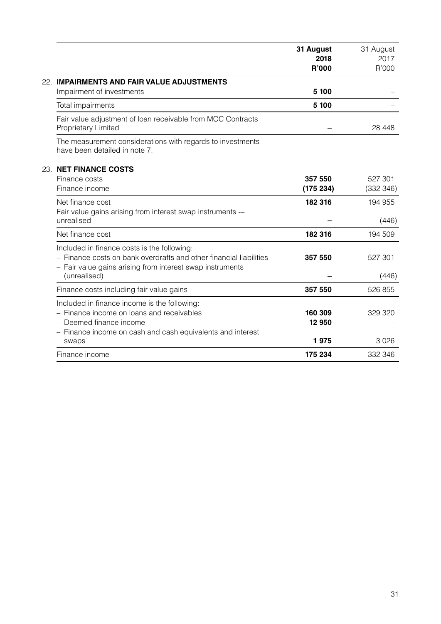|     |                                                                                                                                                                                                | 31 August<br>2018<br>R'000 | 31 August<br>2017<br>R'000 |
|-----|------------------------------------------------------------------------------------------------------------------------------------------------------------------------------------------------|----------------------------|----------------------------|
| 22. | <b>IMPAIRMENTS AND FAIR VALUE ADJUSTMENTS</b><br>Impairment of investments                                                                                                                     | 5 100                      |                            |
|     | Total impairments                                                                                                                                                                              | 5 100                      |                            |
|     | Fair value adjustment of loan receivable from MCC Contracts<br>Proprietary Limited                                                                                                             |                            | 28 448                     |
|     | The measurement considerations with regards to investments<br>have been detailed in note 7.                                                                                                    |                            |                            |
|     | 23. NET FINANCE COSTS<br>Finance costs<br>Finance income                                                                                                                                       | 357 550<br>(175234)        | 527 301<br>(332 346)       |
|     | Net finance cost<br>Fair value gains arising from interest swap instruments -<br>unrealised                                                                                                    | 182 316                    | 194 955<br>(446)           |
|     | Net finance cost                                                                                                                                                                               | 182 316                    | 194 509                    |
|     | Included in finance costs is the following:<br>- Finance costs on bank overdrafts and other financial liabilities<br>- Fair value gains arising from interest swap instruments<br>(unrealised) | 357 550                    | 527 301<br>(446)           |
|     | Finance costs including fair value gains                                                                                                                                                       | 357 550                    | 526 855                    |
|     | Included in finance income is the following:<br>Finance income on loans and receivables<br>Deemed finance income<br>- Finance income on cash and cash equivalents and interest<br>swaps        | 160 309<br>12 950<br>1975  | 329 320<br>3 0 2 6         |
|     | Finance income                                                                                                                                                                                 | 175 234                    | 332 346                    |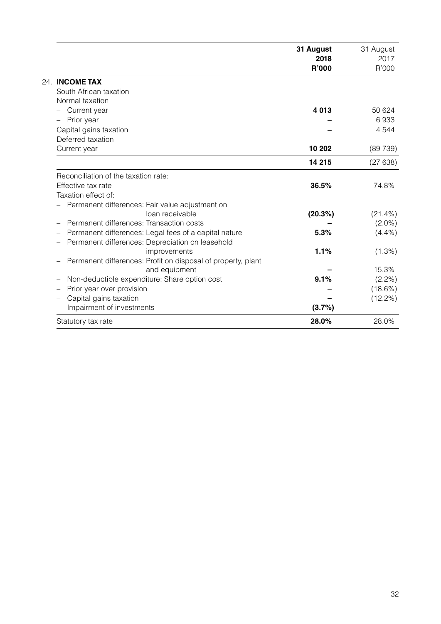|                                                              | 31 August<br>2018<br>R'000 | 31 August<br>2017<br>R'000 |
|--------------------------------------------------------------|----------------------------|----------------------------|
| 24. INCOME TAX                                               |                            |                            |
| South African taxation                                       |                            |                            |
| Normal taxation                                              |                            |                            |
| Current year                                                 | 4013                       | 50 624                     |
| Prior year<br>$\overline{\phantom{m}}$                       |                            | 6933                       |
| Capital gains taxation                                       |                            | 4544                       |
| Deferred taxation                                            |                            |                            |
| Current year                                                 | 10 202                     | (89739)                    |
|                                                              | 14 215                     | (27638)                    |
| Reconciliation of the taxation rate:                         |                            |                            |
| Effective tax rate                                           | 36.5%                      | 74.8%                      |
| Taxation effect of:                                          |                            |                            |
| Permanent differences: Fair value adjustment on              |                            |                            |
| loan receivable                                              | (20.3%)                    | $(21.4\%)$                 |
| Permanent differences: Transaction costs                     |                            | $(2.0\%)$                  |
| Permanent differences: Legal fees of a capital nature        | 5.3%                       | (4.4%)                     |
| Permanent differences: Depreciation on leasehold             |                            |                            |
| improvements                                                 | 1.1%                       | (1.3%)                     |
| Permanent differences: Profit on disposal of property, plant |                            |                            |
| and equipment                                                |                            | 15.3%                      |
| Non-deductible expenditure: Share option cost                | 9.1%                       | $(2.2\%)$                  |
| Prior year over provision                                    |                            | (18.6%)                    |
| Capital gains taxation                                       |                            | (12.2%)                    |
| Impairment of investments                                    | (3.7%)                     |                            |
| Statutory tax rate                                           | 28.0%                      | 28.0%                      |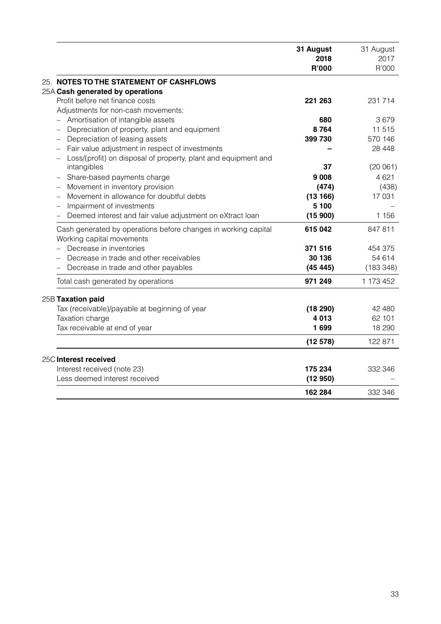|                                                                                             | 31 August<br>2018<br>R'000 | 31 August<br>2017<br>R'000 |
|---------------------------------------------------------------------------------------------|----------------------------|----------------------------|
| 25. NOTES TO THE STATEMENT OF CASHFLOWS                                                     |                            |                            |
| 25A Cash generated by operations                                                            |                            |                            |
| Profit before net finance costs                                                             | 221 263                    | 231 714                    |
| Adjustments for non-cash movements:                                                         |                            |                            |
| Amortisation of intangible assets                                                           | 680                        | 3679                       |
| Depreciation of property, plant and equipment<br>$\overline{\phantom{0}}$                   | 8764                       | 11515                      |
| Depreciation of leasing assets<br>$\overline{\phantom{0}}$                                  | 399 730                    | 570 146                    |
| Fair value adjustment in respect of investments<br>$\overline{\phantom{0}}$                 |                            | 28 4 48                    |
| Loss/(profit) on disposal of property, plant and equipment and                              |                            |                            |
| intangibles                                                                                 | 37                         | (20061)                    |
| Share-based payments charge                                                                 | 9008                       | 4 6 21                     |
| Movement in inventory provision                                                             | (474)                      | (438)                      |
| Movement in allowance for doubtful debts                                                    | (13166)                    | 17 031                     |
| Impairment of investments                                                                   | 5 100                      |                            |
| Deemed interest and fair value adjustment on eXtract loan<br>$\overline{\phantom{0}}$       | (15900)                    | 1 1 5 6                    |
| Cash generated by operations before changes in working capital<br>Working capital movements | 615 042                    | 847 811                    |
| Decrease in inventories                                                                     | 371 516                    | 454 375                    |
| Decrease in trade and other receivables                                                     | 30 136                     | 54 614                     |
| Decrease in trade and other payables                                                        | (45445)                    | (183 348)                  |
| Total cash generated by operations                                                          | 971 249                    | 1 173 452                  |
| 25B Taxation paid                                                                           |                            |                            |
| Tax (receivable)/payable at beginning of year                                               | (18290)                    | 42 480                     |
| Taxation charge                                                                             | 4013                       | 62 101                     |
| Tax receivable at end of year                                                               | 1699                       | 18 290                     |
|                                                                                             | (12578)                    | 122 871                    |
| 25C Interest received                                                                       |                            |                            |
| Interest received (note 23)                                                                 | 175 234                    | 332 346                    |
| Less deemed interest received                                                               | (12950)                    |                            |
|                                                                                             | 162 284                    | 332 346                    |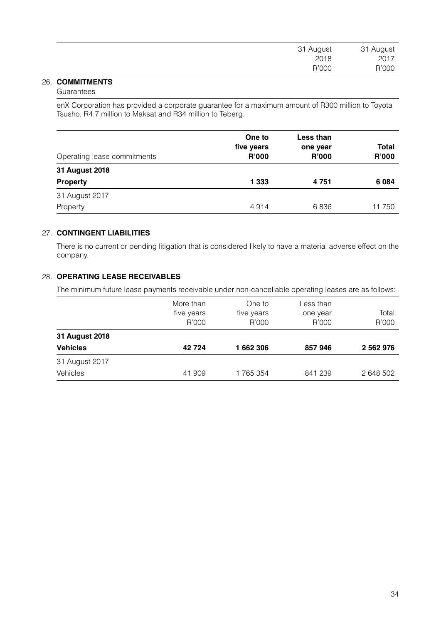| 31 August | 31 August |
|-----------|-----------|
| 2018      | 2017      |
| R'000     | R'000     |

# 26. **COMMITMENTS**

Guarantees

enX Corporation has provided a corporate guarantee for a maximum amount of R300 million to Toyota Tsusho, R4.7 million to Maksat and R34 million to Teberg.

| Operating lease commitments | One to<br>five years<br><b>R'000</b> | Less than<br>one year<br><b>R'000</b> | Total<br>R'000 |
|-----------------------------|--------------------------------------|---------------------------------------|----------------|
| 31 August 2018              |                                      |                                       |                |
| <b>Property</b>             | 1 3 3 3                              | 4 7 5 1                               | 6084           |
| 31 August 2017              |                                      |                                       |                |
| Property                    | 4914                                 | 6836                                  | 11 750         |

### 27. **CONTINGENT LIABILITIES**

There is no current or pending litigation that is considered likely to have a material adverse effect on the company.

## 28. **OPERATING LEASE RECEIVABLES**

The minimum future lease payments receivable under non-cancellable operating leases are as follows:

|                 | More than<br>five years<br>R'000 | One to<br>five years<br>R'000 | Less than<br>one year<br>R'000 | Total<br>R'000 |
|-----------------|----------------------------------|-------------------------------|--------------------------------|----------------|
| 31 August 2018  |                                  |                               |                                |                |
| <b>Vehicles</b> | 42724                            | 1662306                       | 857946                         | 2 562 976      |
| 31 August 2017  |                                  |                               |                                |                |
| Vehicles        | 41 909                           | 1 765 354                     | 841 239                        | 2 648 502      |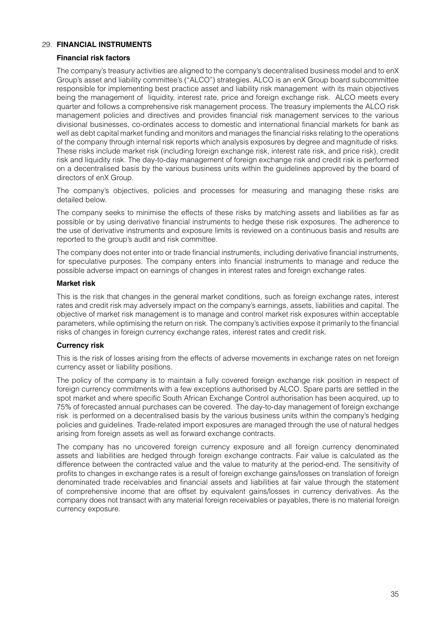#### 29. **FINANCIAL INSTRUMENTS**

#### **Financial risk factors**

The company's treasury activities are aligned to the company's decentralised business model and to enX Group's asset and liability committee's ("ALCO") strategies. ALCO is an enX Group board subcommittee responsible for implementing best practice asset and liability risk management with its main objectives being the management of liquidity, interest rate, price and foreign exchange risk. ALCO meets every quarter and follows a comprehensive risk management process. The treasury implements the ALCO risk management policies and directives and provides financial risk management services to the various divisional businesses, co-ordinates access to domestic and international financial markets for bank as well as debt capital market funding and monitors and manages the financial risks relating to the operations of the company through internal risk reports which analysis exposures by degree and magnitude of risks. These risks include market risk (including foreign exchange risk, interest rate risk, and price risk), credit risk and liquidity risk. The day-to-day management of foreign exchange risk and credit risk is performed on a decentralised basis by the various business units within the guidelines approved by the board of directors of enX Group.

The company's objectives, policies and processes for measuring and managing these risks are detailed below.

The company seeks to minimise the effects of these risks by matching assets and liabilities as far as possible or by using derivative financial instruments to hedge these risk exposures. The adherence to the use of derivative instruments and exposure limits is reviewed on a continuous basis and results are reported to the group's audit and risk committee.

The company does not enter into or trade financial instruments, including derivative financial instruments, for speculative purposes. The company enters into financial instruments to manage and reduce the possible adverse impact on earnings of changes in interest rates and foreign exchange rates.

#### **Market risk**

This is the risk that changes in the general market conditions, such as foreign exchange rates, interest rates and credit risk may adversely impact on the company's earnings, assets, liabilities and capital. The objective of market risk management is to manage and control market risk exposures within acceptable parameters, while optimising the return on risk. The company's activities expose it primarily to the financial risks of changes in foreign currency exchange rates, interest rates and credit risk.

#### **Currency risk**

This is the risk of losses arising from the effects of adverse movements in exchange rates on net foreign currency asset or liability positions.

The policy of the company is to maintain a fully covered foreign exchange risk position in respect of foreign currency commitments with a few exceptions authorised by ALCO. Spare parts are settled in the spot market and where specific South African Exchange Control authorisation has been acquired, up to 75% of forecasted annual purchases can be covered. The day-to-day management of foreign exchange risk is performed on a decentralised basis by the various business units within the company's hedging policies and guidelines. Trade-related import exposures are managed through the use of natural hedges arising from foreign assets as well as forward exchange contracts.

The company has no uncovered foreign currency exposure and all foreign currency denominated assets and liabilities are hedged through foreign exchange contracts. Fair value is calculated as the difference between the contracted value and the value to maturity at the period-end. The sensitivity of profits to changes in exchange rates is a result of foreign exchange gains/losses on translation of foreign denominated trade receivables and financial assets and liabilities at fair value through the statement of comprehensive income that are offset by equivalent gains/losses in currency derivatives. As the company does not transact with any material foreign receivables or payables, there is no material foreign currency exposure.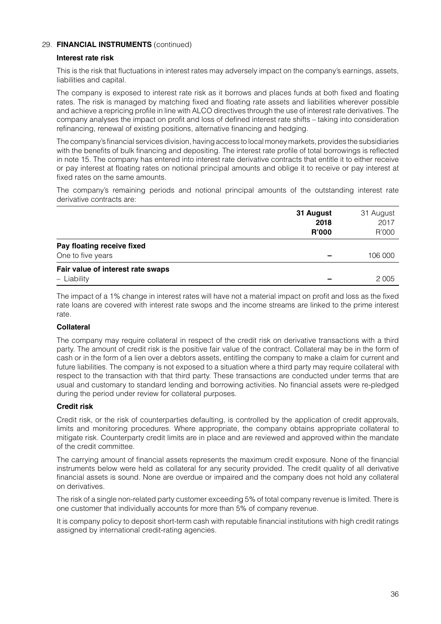#### **Interest rate risk**

This is the risk that fluctuations in interest rates may adversely impact on the company's earnings, assets, liabilities and capital.

The company is exposed to interest rate risk as it borrows and places funds at both fixed and floating rates. The risk is managed by matching fixed and floating rate assets and liabilities wherever possible and achieve a repricing profile in line with ALCO directives through the use of interest rate derivatives. The company analyses the impact on profit and loss of defined interest rate shifts – taking into consideration refinancing, renewal of existing positions, alternative financing and hedging.

The company's financial services division, having access to local money markets, provides the subsidiaries with the benefits of bulk financing and depositing. The interest rate profile of total borrowings is reflected in note 15. The company has entered into interest rate derivative contracts that entitle it to either receive or pay interest at floating rates on notional principal amounts and oblige it to receive or pay interest at fixed rates on the same amounts.

The company's remaining periods and notional principal amounts of the outstanding interest rate derivative contracts are:

|                                   | 31 August | 31 August |
|-----------------------------------|-----------|-----------|
|                                   | 2018      | 2017      |
|                                   | R'000     | R'000     |
| Pay floating receive fixed        |           |           |
| One to five years                 |           | 106 000   |
| Fair value of interest rate swaps |           |           |
| - Liability                       |           | 2 0 0 5   |

The impact of a 1% change in interest rates will have not a material impact on profit and loss as the fixed rate loans are covered with interest rate swops and the income streams are linked to the prime interest rate.

#### **Collateral**

The company may require collateral in respect of the credit risk on derivative transactions with a third party. The amount of credit risk is the positive fair value of the contract. Collateral may be in the form of cash or in the form of a lien over a debtors assets, entitling the company to make a claim for current and future liabilities. The company is not exposed to a situation where a third party may require collateral with respect to the transaction with that third party. These transactions are conducted under terms that are usual and customary to standard lending and borrowing activities. No financial assets were re-pledged during the period under review for collateral purposes.

#### **Credit risk**

Credit risk, or the risk of counterparties defaulting, is controlled by the application of credit approvals, limits and monitoring procedures. Where appropriate, the company obtains appropriate collateral to mitigate risk. Counterparty credit limits are in place and are reviewed and approved within the mandate of the credit committee.

The carrying amount of financial assets represents the maximum credit exposure. None of the financial instruments below were held as collateral for any security provided. The credit quality of all derivative financial assets is sound. None are overdue or impaired and the company does not hold any collateral on derivatives.

The risk of a single non-related party customer exceeding 5% of total company revenue is limited. There is one customer that individually accounts for more than 5% of company revenue.

It is company policy to deposit short-term cash with reputable financial institutions with high credit ratings assigned by international credit-rating agencies.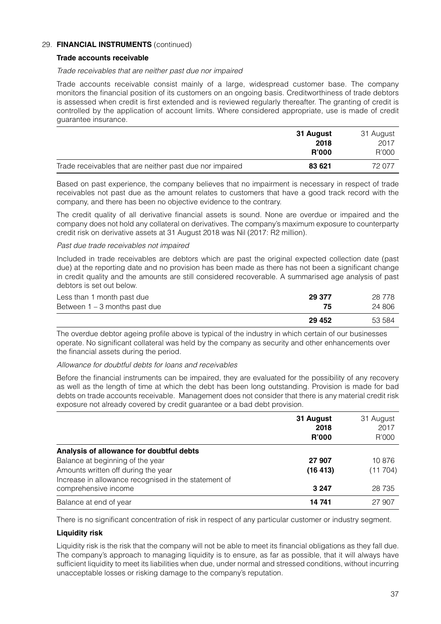#### **Trade accounts receivable**

#### *Trade receivables that are neither past due nor impaired*

Trade accounts receivable consist mainly of a large, widespread customer base. The company monitors the financial position of its customers on an ongoing basis. Creditworthiness of trade debtors is assessed when credit is first extended and is reviewed regularly thereafter. The granting of credit is controlled by the application of account limits. Where considered appropriate, use is made of credit guarantee insurance.

|                                                          | 31 August    | 31 August |
|----------------------------------------------------------|--------------|-----------|
|                                                          | 2018         | 2017      |
|                                                          | <b>R'000</b> | R'000     |
| Trade receivables that are neither past due nor impaired | 83 621       | 72077     |

Based on past experience, the company believes that no impairment is necessary in respect of trade receivables not past due as the amount relates to customers that have a good track record with the company, and there has been no objective evidence to the contrary.

The credit quality of all derivative financial assets is sound. None are overdue or impaired and the company does not hold any collateral on derivatives. The company's maximum exposure to counterparty credit risk on derivative assets at 31 August 2018 was Nil (2017: R2 million).

#### *Past due trade receivables not impaired*

Included in trade receivables are debtors which are past the original expected collection date (past due) at the reporting date and no provision has been made as there has not been a significant change in credit quality and the amounts are still considered recoverable. A summarised age analysis of past debtors is set out below.

| Between $1 - 3$ months past due | 75     | 24 806 |
|---------------------------------|--------|--------|
| Less than 1 month past due      | 29 377 | 28 778 |

The overdue debtor ageing profile above is typical of the industry in which certain of our businesses operate. No significant collateral was held by the company as security and other enhancements over the financial assets during the period.

#### *Allowance for doubtful debts for loans and receivables*

Before the financial instruments can be impaired, they are evaluated for the possibility of any recovery as well as the length of time at which the debt has been long outstanding. Provision is made for bad debts on trade accounts receivable. Management does not consider that there is any material credit risk exposure not already covered by credit guarantee or a bad debt provision.

|                                                      | 31 August<br>2018<br><b>R'000</b> | 31 August<br>2017<br>R'000 |
|------------------------------------------------------|-----------------------------------|----------------------------|
| Analysis of allowance for doubtful debts             |                                   |                            |
| Balance at beginning of the year                     | 27 907                            | 10876                      |
| Amounts written off during the year                  | (16 413)                          | (11704)                    |
| Increase in allowance recognised in the statement of |                                   |                            |
| comprehensive income                                 | 3 2 4 7                           | 28 735                     |
| Balance at end of year                               | 14741                             | 27 907                     |

There is no significant concentration of risk in respect of any particular customer or industry segment.

#### **Liquidity risk**

Liquidity risk is the risk that the company will not be able to meet its financial obligations as they fall due. The company's approach to managing liquidity is to ensure, as far as possible, that it will always have sufficient liquidity to meet its liabilities when due, under normal and stressed conditions, without incurring unacceptable losses or risking damage to the company's reputation.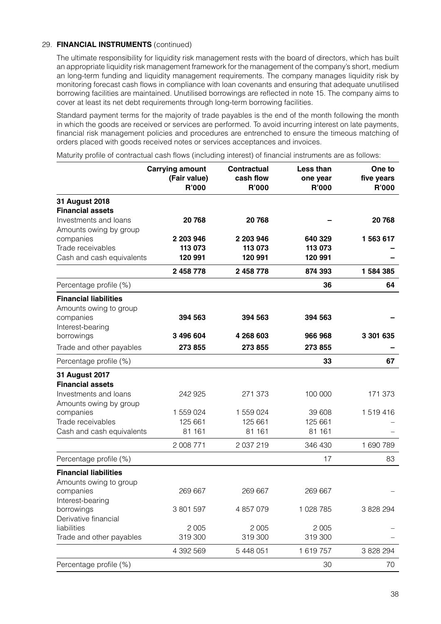The ultimate responsibility for liquidity risk management rests with the board of directors, which has built an appropriate liquidity risk management framework for the management of the company's short, medium an long-term funding and liquidity management requirements. The company manages liquidity risk by monitoring forecast cash flows in compliance with loan covenants and ensuring that adequate unutilised borrowing facilities are maintained. Unutilised borrowings are reflected in note 15. The company aims to cover at least its net debt requirements through long-term borrowing facilities.

Standard payment terms for the majority of trade payables is the end of the month following the month in which the goods are received or services are performed. To avoid incurring interest on late payments, financial risk management policies and procedures are entrenched to ensure the timeous matching of orders placed with goods received notes or services acceptances and invoices.

Maturity profile of contractual cash flows (including interest) of financial instruments are as follows:

|                                         | <b>Carrying amount</b><br>(Fair value)<br>R'000 | <b>Contractual</b><br>cash flow<br>R'000 | Less than<br>one year<br>R'000 | One to<br>five years<br>R'000 |
|-----------------------------------------|-------------------------------------------------|------------------------------------------|--------------------------------|-------------------------------|
| 31 August 2018                          |                                                 |                                          |                                |                               |
| <b>Financial assets</b>                 |                                                 |                                          |                                |                               |
| Investments and loans                   | 20768                                           | 20768                                    |                                | 20 768                        |
| Amounts owing by group                  |                                                 |                                          |                                |                               |
| companies                               | 2 203 946                                       | 2 203 946                                | 640 329                        | 1 563 617                     |
| Trade receivables                       | 113 073<br>120 991                              | 113 073<br>120 991                       | 113 073                        |                               |
| Cash and cash equivalents               |                                                 |                                          | 120 991                        |                               |
|                                         | 2 458 778                                       | 2 458 778                                | 874 393                        | 1 584 385                     |
| Percentage profile (%)                  |                                                 |                                          | 36                             | 64                            |
| <b>Financial liabilities</b>            |                                                 |                                          |                                |                               |
| Amounts owing to group                  |                                                 |                                          |                                |                               |
| companies                               | 394 563                                         | 394 563                                  | 394 563                        |                               |
| Interest-bearing                        |                                                 |                                          |                                |                               |
| borrowings                              | 3 496 604                                       | 4 268 603                                | 966 968                        | 3 301 635                     |
| Trade and other payables                | 273 855                                         | 273 855                                  | 273 855                        |                               |
| Percentage profile (%)                  |                                                 |                                          | 33                             | 67                            |
| 31 August 2017                          |                                                 |                                          |                                |                               |
| <b>Financial assets</b>                 |                                                 |                                          |                                |                               |
| Investments and loans                   | 242 925                                         | 271 373                                  | 100 000                        | 171 373                       |
| Amounts owing by group                  |                                                 |                                          |                                |                               |
| companies                               | 1 559 024                                       | 1 559 024                                | 39 608                         | 1519416                       |
| Trade receivables                       | 125 661                                         | 125 661                                  | 125 661                        |                               |
| Cash and cash equivalents               | 81 161                                          | 81 161                                   | 81 161                         |                               |
|                                         | 2 008 771                                       | 2 0 3 7 2 1 9                            | 346 430                        | 1690789                       |
| Percentage profile (%)                  |                                                 |                                          | 17                             | 83                            |
| <b>Financial liabilities</b>            |                                                 |                                          |                                |                               |
| Amounts owing to group                  |                                                 |                                          |                                |                               |
| companies                               | 269 667                                         | 269 667                                  | 269 667                        |                               |
| Interest-bearing                        |                                                 |                                          |                                |                               |
| borrowings                              | 3801597                                         | 4 857 079                                | 1 028 785                      | 3 828 294                     |
| Derivative financial                    |                                                 |                                          |                                |                               |
| liabilities<br>Trade and other payables | 2 0 0 5<br>319 300                              | 2 0 0 5<br>319 300                       | 2 0 0 5<br>319 300             |                               |
|                                         |                                                 |                                          |                                |                               |
|                                         | 4 392 569                                       | 5 448 051                                | 1619757                        | 3 828 294                     |
| Percentage profile (%)                  |                                                 |                                          | 30                             | 70                            |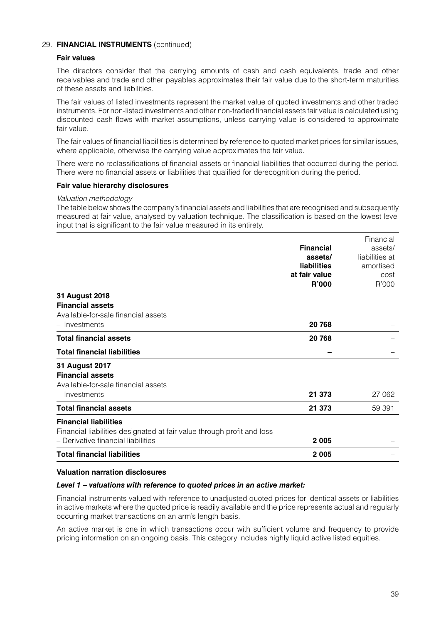#### **Fair values**

The directors consider that the carrying amounts of cash and cash equivalents, trade and other receivables and trade and other payables approximates their fair value due to the short-term maturities of these assets and liabilities.

The fair values of listed investments represent the market value of quoted investments and other traded instruments. For non-listed investments and other non-traded financial assets fair value is calculated using discounted cash flows with market assumptions, unless carrying value is considered to approximate fair value.

The fair values of financial liabilities is determined by reference to quoted market prices for similar issues, where applicable, otherwise the carrying value approximates the fair value.

There were no reclassifications of financial assets or financial liabilities that occurred during the period. There were no financial assets or liabilities that qualified for derecognition during the period.

#### **Fair value hierarchy disclosures**

#### *Valuation methodology*

The table below shows the company's financial assets and liabilities that are recognised and subsequently measured at fair value, analysed by valuation technique. The classification is based on the lowest level input that is significant to the fair value measured in its entirety.

|                                                                        |                    | Financial      |
|------------------------------------------------------------------------|--------------------|----------------|
|                                                                        | <b>Financial</b>   | assets/        |
|                                                                        | assets/            | liabilities at |
|                                                                        | <b>liabilities</b> | amortised      |
|                                                                        | at fair value      | cost           |
|                                                                        | <b>R'000</b>       | R'000          |
| 31 August 2018                                                         |                    |                |
| <b>Financial assets</b>                                                |                    |                |
| Available-for-sale financial assets                                    |                    |                |
| - Investments                                                          | 20768              |                |
| <b>Total financial assets</b>                                          | 20768              |                |
| <b>Total financial liabilities</b>                                     |                    |                |
| 31 August 2017                                                         |                    |                |
| <b>Financial assets</b>                                                |                    |                |
| Available-for-sale financial assets                                    |                    |                |
| - Investments                                                          | 21 373             | 27 062         |
| <b>Total financial assets</b>                                          | 21 373             | 59 391         |
| <b>Financial liabilities</b>                                           |                    |                |
| Financial liabilities designated at fair value through profit and loss |                    |                |
| - Derivative financial liabilities                                     | 2005               |                |
| <b>Total financial liabilities</b>                                     | 2 0 0 5            |                |

#### **Valuation narration disclosures**

#### *Level 1 – valuations with reference to quoted prices in an active market:*

Financial instruments valued with reference to unadjusted quoted prices for identical assets or liabilities in active markets where the quoted price is readily available and the price represents actual and regularly occurring market transactions on an arm's length basis.

An active market is one in which transactions occur with sufficient volume and frequency to provide pricing information on an ongoing basis. This category includes highly liquid active listed equities.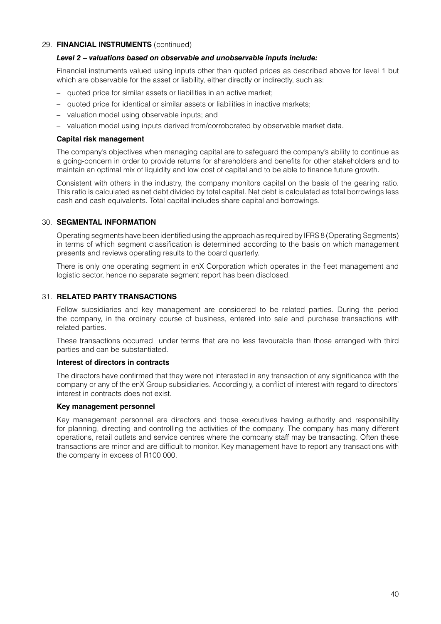#### *Level 2 – valuations based on observable and unobservable inputs include:*

Financial instruments valued using inputs other than quoted prices as described above for level 1 but which are observable for the asset or liability, either directly or indirectly, such as:

- quoted price for similar assets or liabilities in an active market;
- quoted price for identical or similar assets or liabilities in inactive markets;
- valuation model using observable inputs; and
- valuation model using inputs derived from/corroborated by observable market data.

#### **Capital risk management**

The company's objectives when managing capital are to safeguard the company's ability to continue as a going-concern in order to provide returns for shareholders and benefits for other stakeholders and to maintain an optimal mix of liquidity and low cost of capital and to be able to finance future growth.

Consistent with others in the industry, the company monitors capital on the basis of the gearing ratio. This ratio is calculated as net debt divided by total capital. Net debt is calculated as total borrowings less cash and cash equivalents. Total capital includes share capital and borrowings.

#### 30. **SEGMENTAL INFORMATION**

Operating segments have been identified using the approach as required by IFRS 8 (Operating Segments) in terms of which segment classification is determined according to the basis on which management presents and reviews operating results to the board quarterly.

There is only one operating segment in enX Corporation which operates in the fleet management and logistic sector, hence no separate segment report has been disclosed.

#### 31. **RELATED PARTY TRANSACTIONS**

Fellow subsidiaries and key management are considered to be related parties. During the period the company, in the ordinary course of business, entered into sale and purchase transactions with related parties.

These transactions occurred under terms that are no less favourable than those arranged with third parties and can be substantiated.

#### **Interest of directors in contracts**

The directors have confirmed that they were not interested in any transaction of any significance with the company or any of the enX Group subsidiaries. Accordingly, a conflict of interest with regard to directors' interest in contracts does not exist.

#### **Key management personnel**

Key management personnel are directors and those executives having authority and responsibility for planning, directing and controlling the activities of the company. The company has many different operations, retail outlets and service centres where the company staff may be transacting. Often these transactions are minor and are difficult to monitor. Key management have to report any transactions with the company in excess of R100 000.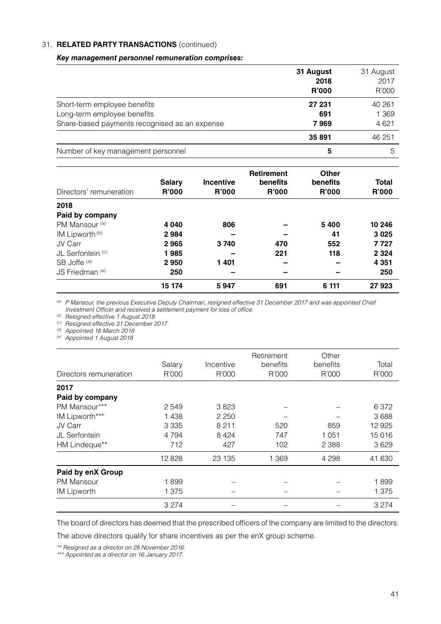### 31. **RELATED PARTY TRANSACTIONS** (continued)

#### *Key management personnel remuneration comprises:*

|                                                                                                              | 31 August<br>2018<br><b>R'000</b> | 31 August<br>2017<br>R'000 |
|--------------------------------------------------------------------------------------------------------------|-----------------------------------|----------------------------|
| Short-term employee benefits<br>Long-term employee benefits<br>Share-based payments recognised as an expense | 27 231<br>691<br>7969             | 40 261<br>1 369<br>4621    |
|                                                                                                              | 35 891                            | 46 251                     |
| Number of key management personnel                                                                           | 5                                 | 5                          |

| Directors' remuneration    | <b>Salary</b><br><b>R'000</b> | <b>Incentive</b><br><b>R'000</b> | <b>Retirement</b><br>benefits<br><b>R'000</b> | Other<br>benefits<br><b>R'000</b> | <b>Total</b><br><b>R'000</b> |
|----------------------------|-------------------------------|----------------------------------|-----------------------------------------------|-----------------------------------|------------------------------|
| 2018                       |                               |                                  |                                               |                                   |                              |
| Paid by company            |                               |                                  |                                               |                                   |                              |
| PM Mansour (a)             | 4 0 4 0                       | 806                              |                                               | 5400                              | 10 246                       |
| IM Lipworth <sup>(b)</sup> | 2984                          |                                  |                                               | 41                                | 3025                         |
| JV Carr                    | 2965                          | 3740                             | 470                                           | 552                               | 7727                         |
| JL Serfontein (c)          | 1985                          |                                  | 221                                           | 118                               | 2 3 2 4                      |
| SB Joffe <sup>(d)</sup>    | 2950                          | 1 4 0 1                          |                                               |                                   | 4 3 5 1                      |
| JS Friedman <sup>(e)</sup> | 250                           |                                  |                                               |                                   | 250                          |
|                            | 15 174                        | 5947                             | 691                                           | 6 111                             | 27923                        |

*(a) P Mansour, the previous Executive Deputy Chairman, resigned effective 31 December 2017 and was appointed Chief Investment Officer and received a settlement payment for loss of office.* 

*(b) Resigned effective 1 August 2018*<br>*(c) Resigned effective 31 December 2017* 

*(d) Appointed 18 March 2018*

*(e) Appointed 1 August 2018*

|                        |         |           | Retirement | Other    |         |
|------------------------|---------|-----------|------------|----------|---------|
|                        | Salary  | Incentive | benefits   | benefits | Total   |
| Directors remuneration | R'000   | R'000     | R'000      | R'000    | R'000   |
| 2017                   |         |           |            |          |         |
| Paid by company        |         |           |            |          |         |
| PM Mansour***          | 2549    | 3823      |            |          | 6 3 7 2 |
| IM Lipworth***         | 1 4 3 8 | 2 2 5 0   |            |          | 3688    |
| JV Carr                | 3 3 3 5 | 8 2 1 1   | 520        | 859      | 12 9 25 |
| JL Serfontein          | 4 7 9 4 | 8 4 2 4   | 747        | 1 0 5 1  | 15 0 16 |
| HM Lindeque**          | 712     | 427       | 102        | 2 3 8 8  | 3629    |
|                        | 12828   | 23 135    | 1 3 6 9    | 4 2 9 8  | 41 630  |
| Paid by enX Group      |         |           |            |          |         |
| <b>PM Mansour</b>      | 1899    |           |            |          | 1899    |
| <b>IM Lipworth</b>     | 1 375   |           |            |          | 1 3 7 5 |
|                        | 3 2 7 4 |           |            |          | 3 2 7 4 |

The board of directors has deemed that the prescribed officers of the company are limited to the directors.

The above directors qualify for share incentives as per the enX group scheme.

*\*\* Resigned as a director on 28 November 2016.*

*\*\*\* Appointed as a director on 16 January 2017.*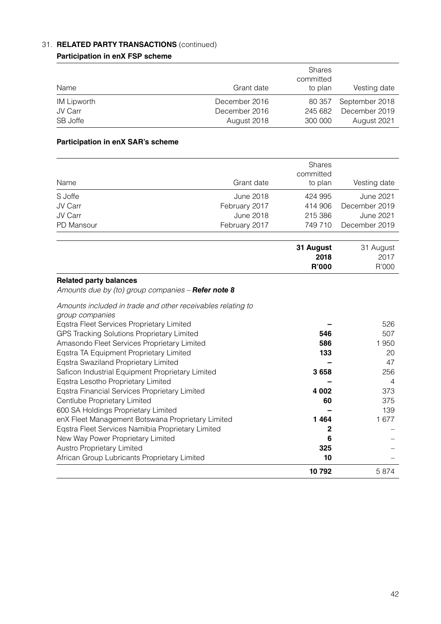# 31. **RELATED PARTY TRANSACTIONS** (continued)

| Participation in enX FSP scheme |  |  |  |  |
|---------------------------------|--|--|--|--|
|---------------------------------|--|--|--|--|

| Name               | Grant date    | Shares<br>committed<br>to plan | Vesting date   |
|--------------------|---------------|--------------------------------|----------------|
| <b>IM Lipworth</b> | December 2016 | 80 357                         | September 2018 |
| JV Carr            | December 2016 | 245 682                        | December 2019  |
| SB Joffe           | August 2018   | 300 000                        | August 2021    |

# **Participation in enX SAR's scheme**

| Name                                                                                | Grant date       | Shares<br>committed<br>to plan | Vesting date  |
|-------------------------------------------------------------------------------------|------------------|--------------------------------|---------------|
| S Joffe                                                                             | <b>June 2018</b> | 424 995                        | June 2021     |
| JV Carr                                                                             | February 2017    | 414 906                        | December 2019 |
| JV Carr                                                                             | <b>June 2018</b> | 215 386                        | June 2021     |
| PD Mansour                                                                          | February 2017    | 749 710                        | December 2019 |
|                                                                                     |                  | 31 August                      | 31 August     |
|                                                                                     |                  | 2018                           | 2017          |
|                                                                                     |                  | R'000                          | R'000         |
| <b>Related party balances</b><br>Amounts due by (to) group companies - Refer note 8 |                  |                                |               |
| Amounts included in trade and other receivables relating to                         |                  |                                |               |
| group companies<br>Eqstra Fleet Services Proprietary Limited                        |                  |                                | 526           |
| GPS Tracking Solutions Proprietary Limited                                          |                  | 546                            | 507           |
| Amasondo Fleet Services Proprietary Limited                                         |                  | 586                            | 1950          |
| Eqstra TA Equipment Proprietary Limited                                             |                  | 133                            | 20            |
| Eqstra Swaziland Proprietary Limited                                                |                  |                                | 47            |
| Saficon Industrial Equipment Proprietary Limited                                    |                  | 3658                           | 256           |
| Egstra Lesotho Proprietary Limited                                                  |                  |                                | 4             |
| Egstra Financial Services Proprietary Limited                                       |                  | 4 0 0 2                        | 373           |
| Centlube Proprietary Limited                                                        |                  | 60                             | 375           |
| 600 SA Holdings Proprietary Limited                                                 |                  |                                | 139           |
| enX Fleet Management Botswana Proprietary Limited                                   |                  | 1 4 6 4                        | 1677          |
| Egstra Fleet Services Namibia Proprietary Limited                                   |                  | 2                              |               |
| New Way Power Proprietary Limited                                                   |                  | 6                              |               |
| Austro Proprietary Limited                                                          |                  | 325                            |               |
| African Group Lubricants Proprietary Limited                                        |                  | 10                             |               |
|                                                                                     |                  | 10792                          | 5874          |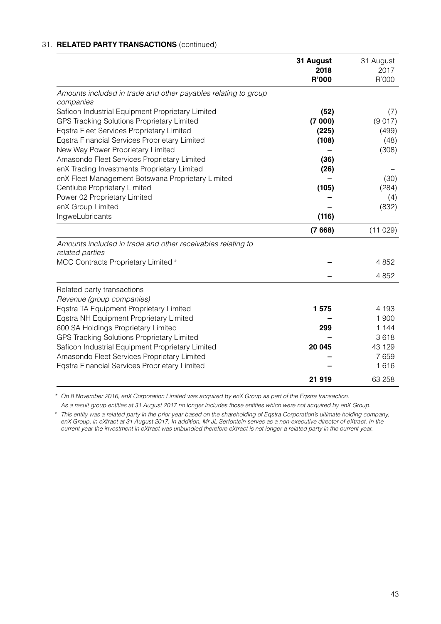### 31. **RELATED PARTY TRANSACTIONS** (continued)

|                                                                             | 31 August<br>2018<br>R'000 | 31 August<br>2017<br>R'000 |
|-----------------------------------------------------------------------------|----------------------------|----------------------------|
| Amounts included in trade and other payables relating to group<br>companies |                            |                            |
| Saficon Industrial Equipment Proprietary Limited                            | (52)                       | (7)                        |
| GPS Tracking Solutions Proprietary Limited                                  | (7000)                     | (9017)                     |
| Eqstra Fleet Services Proprietary Limited                                   | (225)                      | (499)                      |
| Eqstra Financial Services Proprietary Limited                               | (108)                      | (48)                       |
| New Way Power Proprietary Limited                                           |                            | (308)                      |
| Amasondo Fleet Services Proprietary Limited                                 | (36)                       |                            |
| enX Trading Investments Proprietary Limited                                 | (26)                       |                            |
| enX Fleet Management Botswana Proprietary Limited                           |                            | (30)                       |
| Centlube Proprietary Limited                                                | (105)                      | (284)                      |
| Power 02 Proprietary Limited                                                |                            | (4)                        |
| enX Group Limited                                                           |                            | (832)                      |
| IngweLubricants                                                             | (116)                      |                            |
|                                                                             | (7668)                     | (11029)                    |
| Amounts included in trade and other receivables relating to                 |                            |                            |
| related parties                                                             |                            |                            |
| MCC Contracts Proprietary Limited #                                         |                            | 4 8 5 2                    |
|                                                                             |                            | 4852                       |
| Related party transactions                                                  |                            |                            |
| Revenue (group companies)                                                   |                            |                            |
| Egstra TA Equipment Proprietary Limited                                     | 1575                       | 4 1 9 3                    |
| Eqstra NH Equipment Proprietary Limited                                     |                            | 1 900                      |
| 600 SA Holdings Proprietary Limited                                         | 299                        | 1 144                      |
| GPS Tracking Solutions Proprietary Limited                                  |                            | 3618                       |
| Saficon Industrial Equipment Proprietary Limited                            | 20 045                     | 43 129                     |
| Amasondo Fleet Services Proprietary Limited                                 |                            | 7659                       |
| Eqstra Financial Services Proprietary Limited                               |                            | 1616                       |
|                                                                             | 21 919                     | 63 258                     |

*\* On 8 November 2016, enX Corporation Limited was acquired by enX Group as part of the Eqstra transaction.* 

*As a result group entities at 31 August 2017 no longer includes those entities which were not acquired by enX Group.*

*# This entity was a related party in the prior year based on the shareholding of Eqstra Corporation's ultimate holding company,*  enX Group, in eXtract at 31 August 2017. In addition, Mr JL Serfontein serves as a non-executive director of eXtract. In the *current year the investment in eXtract was unbundled therefore eXtract is not longer a related party in the current year.*